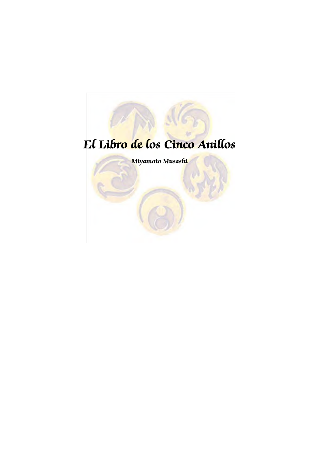# **El Libro de los Cinco Anillos**

M

**Miyamoto Musashi**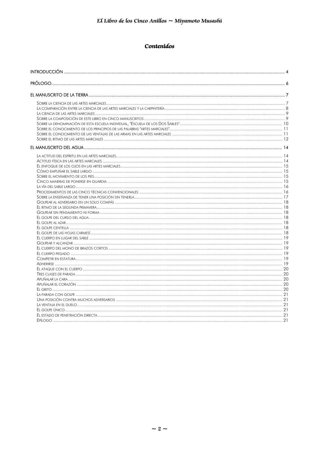# Contenidos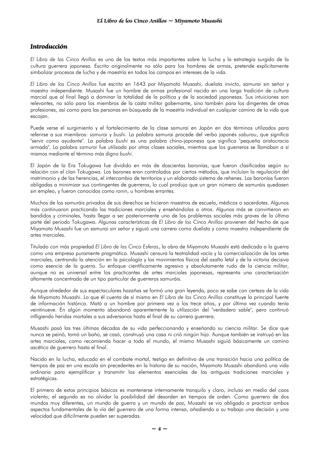# **Introducción**

*El Libro de los Cinco Anillos* es uno de los textos más importantes sobre la lucha y la estrategia surgido de la cultura guerrera japonesa. Escrito originalmente no sólo para los hombres de armas, pretende explícitamente simbolizar procesos de lucha y de maestría en todos los campos en intereses de la vida.

*El Libro de los Cinco Anillos* fue escrito en 1643 por Miyamoto Musashi, duelista invicto, samurai sin señor y maestro independiente. Musashi fue un hombre de armas profesional nacido en una larga tradición de cultura marcial que al final llegó a dominar la totalidad de la política y de la sociedad japonesas. Sus intuiciones son relevantes, no sólo para los miembros de la casta militar gobernante, sino también para los dirigentes de otras profesiones, así como para las personas en búsqueda de la maestría individual en cualquier camino de la vida que escojan.

Puede verse el surgimiento y el fortalecimiento de la clase samurai en Japón en dos términos utilizados para referirse a sus miembros: *samurai* y *bushi*. La palabra samurai procede del verbo japonés *saburau*, que significa "servir como ayudante". La palabra *bushi* es una palabra chino-japonesa que significa "pequeña aristocracia armada". La palabra *samurai* fue utilizada por otras clases sociales, mientras que los guerreros se llamaban a sí mismos mediante el término más digno *bushi*.

El Japón de la Era Tokugawa fue dividido en más de doscientas baronías, que fueron clasificadas según su relación con el clan Tokugawa. Los barones eran controlados por ciertos métodos, que incluían la regulación del matrimonio y de las herencias, el intercambio de territorios y un elaborado sistema de rehenes. Las baronías fueron obligadas a minimizar sus contingentes de guerreros, lo cual produjo que un gran número de samuráis quedasen sin empleo, y fueron conocidos como *ronin*, u hombres errantes.

Muchos de los samuráis privados de sus derechos se hicieron maestros de escuela, médicos o sacerdotes. Algunos más continuaron practicando las tradiciones marciales y enseñándolas a otros. Algunos más se convirtieron en bandidos y criminales, hasta llegar a ser posteriormente uno de los problemas sociales más graves de la última parte del periodo Tokugawa. Algunas características de *El Libro de los Cinco Anillos* provienen del hecho de que Miyamoto Musashi fue un samurai sin señor y siguió una carrera como duelista y como maestro independiente de artes marciales.

Titulado con más propiedad *El Libro de las Cinco Esferas*, la obra de Miyamoto Musashi está dedicada a la guerra como una empresa puramente pragmática. Musashi censura la teatralidad vacía y la comercialización de las artes marciales, centrando la atención en la psicología y los movimientos físicos del asalto letal y de la victoria decisiva como esencia de la guerra. Su enfoque científicamente agresivo y absolutamente rudo de la ciencia militar, aunque no es universal entre los practicantes de artes marciales japonesas, representa una caracterización altamente concentrada de un tipo particular de guerreros samuráis.

Aunque alrededor de sus espectaculares hazañas se formó una gran leyenda, poco se sabe con certeza de la vida de Miyamoto Musashi. Lo que él cuenta de sí mismo en *El Libro de los Cinco Anillos* constituye la principal fuente de información histórica. Mató a un hombre por primera vez a los trece años, y por última vez cuando tenía veintinueve. En algún momento abandonó aparentemente la utilización del "verdadero sable", pero continuó infligiendo heridas mortales a sus adversarios hasta el final de su carrera guerrera.

Musashi pasó las tres últimas décadas de su vida perfeccionando y enseñando su ciencia militar. Se dice que nunca se peinó, tomó un baño, se casó, construyó una casa ni crió ningún hijo. Aunque también se instruyó en las artes marciales, como recomienda hacer a todo el mundo, el mismo Musashi siguió básicamente un camino ascético de guerrero hasta el final.

Nacido en la lucha, educado en el combate mortal, testigo en definitiva de una transición hacia una política de tiempos de paz en una escala sin precedentes en la historia de su nación, Miyamoto Musashi abandonó una vida ordinaria para ejemplificar y transmitir los elementos esenciales de las antiguas tradiciones marciales y estratégicas.

El primero de estos principios básicos es mantenerse internamente tranquilo y claro, incluso en medio del caos violento; el segundo es no olvidar la posibilidad del desorden en tiempos de orden. Como guerrero de dos mundos muy diferentes, un mundo de guerra y un mundo de paz, Musashi se vio obligado a practicar ambos aspectos fundamentales de la vía del guerrero de una forma intensa, añadiendo a su trabajo una decisión y una velocidad que difícilmente pueden ser superadas.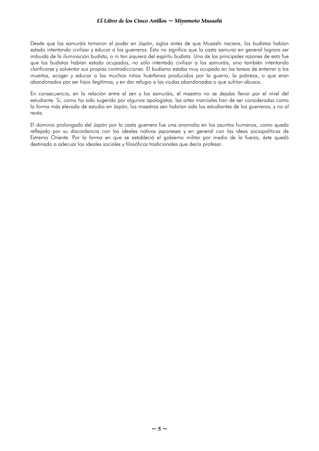Desde que los samuráis tomaron el poder en Japón, siglos antes de que Musashi naciera, los budistas habían estado intentando civilizar y educar a los guerreros. Esto no significa que la casta samurai en general lograra ser imbuida de la iluminación budista, o ni tan siquiera del espíritu budista. Una de las principales razones de esto fue que los budistas habían estado ocupados, no sólo intentado civilizar a los samuráis, sino también intentando clarificarse y solventar sus propias contradicciones. El budismo estaba muy ocupado en las tareas de enterrar a los muertos, acoger y educar a los muchos niños huérfanos producidos por la guerra, la pobreza, o que eran abandonados por ser hijos ilegítimos, y en dar refugio a las viudas abandonadas o que sufrían abusos.

En consecuencia, en la relación entre el zen y los samuráis, el maestro no se dejaba llevar por el nivel del estudiante. Si, como ha sido sugerido por algunos apologistas, las artes marciales han de ser consideradas como la forma más elevada de estudio en Japón, los maestros zen habrían sido los estudiantes de los guerreros, y no al revés.

El dominio prolongado del Japón por la casta guerrera fue una anomalía en los asuntos humanos, como queda reflejado por su discordancia con los ideales nativos japoneses y en general con las ideas sociopolíticas de Extremo Oriente. Por la forma en que se estableció el gobierno militar por medio de la fuerza, éste quedó destinado a adecuar los ideales sociales y filosóficos tradicionales que decía profesar.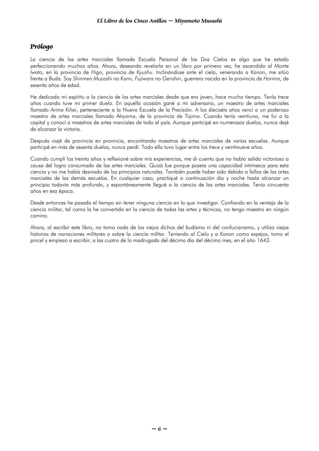# **Prólogo**

La ciencia de las artes marciales llamada Escuela Personal de los Dos Cielos es algo que he estado perfeccionando muchos años. Ahora, deseando revelarla en un libro por primera vez, he ascendido al Monte *Iwato*, en la provincia de *Higo*, provincia de *Kyushu*. Inclinándose ante el cielo, venerando a *Kanon*, me sitúo frente a Buda. Soy *Shinmen Musashi no Kami*, *Fujiwara no Genshin*, guerrero nacido en la provincia de *Harima*, de sesenta años de edad.

He dedicado mi espíritu a la ciencia de las artes marciales desde que era joven, hace mucho tiempo. Tenía trece años cuando tuve mi primer duelo. En aquella ocasión gané a mi adversario, un maestro de artes marciales llamado *Arima Kihei*, perteneciente a la Nueva Escuela de la Precisión. A los dieciséis años vencí a un poderoso maestro de artes marciales llamado *Akiyama*, de la provincia de *Tajima*. Cuando tenía veintiuno, me fui a la capital y conocí a maestros de artes marciales de todo el país. Aunque participé en numerosos duelos, nunca dejé de alcanzar la victoria.

Después viajé de provincia en provincia, encontrando maestros de artes marciales de varias escuelas. Aunque participé en más de sesenta duelos, nunca perdí. Todo ello tuvo lugar entre los trece y veintinueve años.

Cuando cumplí los treinta años y reflexioné sobre mis experiencias, me di cuenta que no había salido victorioso a causa del logro consumado de las artes marciales. Quizá fue porque poseía una capacidad intrínseca para esta ciencia y no me había desviado de los principios naturales. También puede haber sido debido a fallos de las artes marciales de las demás escuelas. En cualquier caso, practiqué a continuación día y noche hasta alcanzar un principio todavía más profundo, y espontáneamente llegué a la ciencia de las artes marciales. Tenía cincuenta años en esa época.

Desde entonces he pasado el tiempo sin tener ninguna ciencia en la que investigar. Confiando en la ventaja de la ciencia militar, tal como la he convertido en la ciencia de todas las artes y técnicas, no tengo maestro en ningún camino.

Ahora, al escribir este libro, no tomo nada de los viejos dichos del budismo ni del confucianismo, y utilizo viejas historias de narraciones militares o sobre la ciencia militar. Teniendo al Cielo y a *Kanon* como espejos, tomo el pincel y empiezo a escribir, a las cuatro de la madrugada del décimo día del décimo mes, en el año 1643.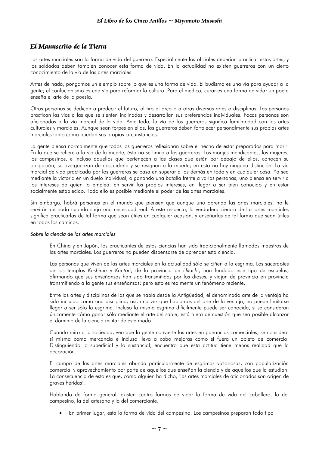# **El Manuscrito de la Tierra**

Las artes marciales son la forma de vida del guerrero. Especialmente los oficiales deberían practicar estas artes, y los soldados deben también conocer esta forma de vida. En la actualidad no existen guerreros con un cierto conocimiento de la vía de las artes marciales.

Antes de nada, pongamos un ejemplo sobre lo que es una forma de vida. El budismo es una vía para ayudar a la gente; el confucianismo es una vía para reformar la cultura. Para el médico, curar es una forma de vida; un poeta enseña el arte de la poesía.

Otras personas se dedican a predecir el futuro, al tiro al arco o a otras diversas artes o disciplinas. Las personas practican las vías a las que se sienten inclinadas y desarrollan sus preferencias individuales. Pocas personas son aficionadas a la vía marcial de la vida. Ante todo, la vía de los guerreros significa familiaridad con las artes culturales y marciales. Aunque sean torpes en ellas, los guerreros deben fortalecer personalmente sus propias artes marciales tanto como puedan sus propias circunstancias.

La gente piensa normalmente que todos los guerreros reflexionan sobre el hecho de estar preparados para morir. En lo que se refiere a la vía de la muerte, ésta no se limita a los guerreros. Los monjes mendicantes, las mujeres, los campesinos, e incluso aquellos que pertenecen a las clases que están por debajo de ellos, conocen su obligación, se avergüenzan de descuidarla y se resignan a la muerte; en esto no hay ninguna distinción. La vía marcial de vida practicada por los guerreros se basa en superar a los demás en todo y en cualquier cosa. Ya sea mediante la victoria en un duelo individual, o ganando una batalla frente a varias personas, uno piensa en servir a los intereses de quien lo emplea, en servir los propios intereses, en llegar a ser bien conocido y en estar socialmente establecido. Todo ello es posible mediante el poder de las artes marciales.

Sin embargo, habrá personas en el mundo que piensen que aunque uno aprenda las artes marciales, no le servirán de nada cuando surja una necesidad real. A este respecto, la verdadera ciencia de las artes marciales significa practicarlas de tal forma que sean útiles en cualquier ocasión, y enseñarlas de tal forma que sean útiles en todos los caminos.

# *Sobre la ciencia de las artes marciales*

En China y en Japón, los practicantes de estas ciencias han sido tradicionalmente llamados maestros de las artes marciales. Los guerreros no pueden dispensarse de aprender esta ciencia.

Las personas que viven de las artes marciales en la actualidad sólo se ciñen a la esgrima. Los sacerdotes de los templos *Kashima* y *Kantori*, de la provincia de *Hitachi*, han fundado este tipo de escuelas, afirmando que sus enseñanzas han sido transmitidas por los dioses, y viajan de provincia en provincia transmitiendo a la gente sus enseñanzas; pero esto es realmente un fenómeno reciente.

Entre las artes y disciplinas de las que se habla desde la Antigüedad, el denominado arte de la ventaja ha sido incluido como una disciplina; así, una vez que hablamos del arte de la ventaja, no puede limitarse llegar a ser sólo la esgrima. Incluso la misma esgrima difícilmente puede ser conocida, si se consideran únicamente cómo ganar sólo mediante el arte del sable; está fuera de cuestión que sea posible alcanzar el dominio de la ciencia militar de este modo.

Cuando miro a la sociedad, veo que la gente convierte las artes en ganancias comerciales; se considera sí misma como mercancía e incluso lleva a cabo mejoras como si fuera un objeto de comercio. Distinguiendo lo superficial y lo sustancial, encuentro que esta actitud tiene menos realidad que la decoración.

El campo de las artes marciales abunda particularmente de esgrimas victoriosas, con popularización comercial y aprovechamiento por parte de aquellos que enseñan la ciencia y de aquellos que la estudian. La consecuencia de esto es que, como alguien ha dicho, "las artes marciales de aficionados son origen de graves heridas".

Hablando de forma general, existen cuatro formas de vida: la forma de vida del caballero, la del campesino, la del artesano y la del comerciante.

• En primer lugar, está la forma de vida del campesino. Los campesinos preparan todo tipo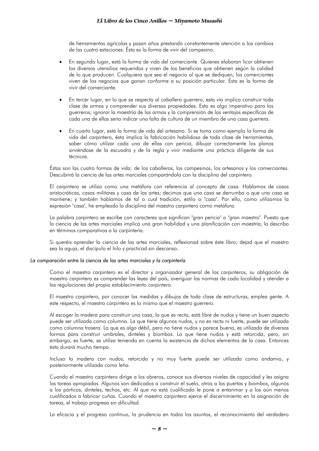de herramientas agrícolas y pasan años prestando constantemente atención a los cambios de las cuatro estaciones. Ésta es la forma de vivir del campesino.

- En segundo lugar, está la forma de vida del comerciante. Quienes elaboran licor obtienen los diversos utensilios requeridos y viven de los beneficios que obtienen según la calidad de lo que producen. Cualquiera que sea el negocio al que se dediquen, los comerciantes viven de los negocios que ganan conforme a su posición particular. Ésta es la forma de vivir del comerciante.
- En tercer lugar, en lo que se respecta al caballero guerrero, esta vía implica construir toda clase de armas y comprender sus diversas propiedades. Esto es algo imperativo para los guerreros; ignorar la maestría de las armas y la comprensión de las ventajas específicas de cada una de ellas sería indicar una falta de cultura de un miembro de una casa guerrera.
- En cuarto lugar, está la forma de vida del artesano. Si se toma como ejemplo la forma de vida del carpintero, ésta implica la fabricación habilidosa de toda clase de herramientas, saber cómo utilizar cada una de ellas con pericia, dibujar correctamente los planos sirviéndose de la escuadra y de la regla y vivir mediante una práctica diligente de sus técnicas.

Éstas son las cuatro formas de vida: de los caballeros, los campesinos, los artesanos y los comerciantes. Descubrirá la ciencia de las artes marciales comparándola con la disciplina del carpintero.

El carpintero se utiliza como una metáfora con referencia al concepto de casa. Hablamos de casas aristocráticas, casas militares y casa de las artes; decimos que una casa se derrumba o que una casa se mantiene; y también hablamos de tal o cual tradición, estilo o "casa". Por ello, como utilizamos la expresión "casa", he empleado la disciplina del maestro carpintero como metáfora.

La palabra carpintero se escribe con caracteres que significan "gran pericia" o "gran maestro". Puesto que la ciencia de las artes marciales implica una gran habilidad y una planificación con maestría, la describo en términos comparativos a la carpintería.

Si queréis aprender la ciencia de las artes marciales, reflexionad sobre éste libro; dejad que el maestro sea la aguja, el discípulo el hilo y practicad sin descanso.

# *La comparación entre la ciencia de las artes marciales y la carpintería*

Como el maestro carpintero es el director y organizador general de los carpinteros, su obligación de maestro carpintero es comprender las leyes del país, averiguar las normas de cada localidad y atender a las regulaciones del propio establecimiento carpintero.

El maestro carpintero, por conocer las medidas y dibujos de toda clase de estructuras, emplea gente. A este respecto, el maestro carpintero es lo mismo que el maestro guerrero.

Al escoger la madera para construir una casa, la que es recta, está libre de nudos y tiene un buen aspecto puede ser utilizada como columna. La que tiene algunos nudos, y no es recta ni fuerte, puede ser utilizada como columna trasera. La que es algo débil, pero no tiene nudos y parece buena, es utilizada de diversas formas para construir umbrales, dinteles y biombos. La que tiene nudos y está retorcida, pero, sin embargo, es fuerte, se utiliza teniendo en cuenta la existencia de dichos elementos de la casa. Entonces ésta durará mucho tiempo.

Incluso la madera con nudos, retorcida y no muy fuerte puede ser utilizada como andamio, y posteriormente utilizada como leña.

Cuando el maestro carpintero dirige a los obreros, conoce sus diversos niveles de capacidad y les asigna las tareas apropiadas. Algunos son dedicados a construir el suelo, otros a las puertas y biombos, algunos a los pórticos, dinteles, techos, etc. Al que no está cualificado le pone a entarimar y a los aún menos cualificados a fabricar cuñas. Cuando el maestro carpintero ejerce el discernimiento en la asignación de tareas, el trabajo progresa sin dificultad.

La eficacia y el progreso continuo, la prudencia en todos los asuntos, el reconocimiento del verdadero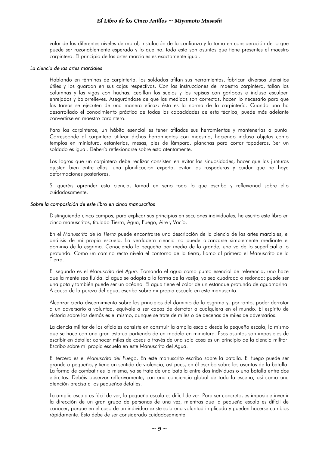valor de los diferentes niveles de moral, instalación de la confianza y la toma en consideración de lo que puede ser razonablemente esperado y lo que no, todo esto son asuntos que tiene presentes el maestro carpintero. El principio de las artes marciales es exactamente igual.

# *La ciencia de las artes marciales*

Hablando en términos de carpintería, los soldados afilan sus herramientas, fabrican diversos utensilios útiles y los guardan en sus cajas respectivas. Con las instrucciones del maestro carpintero, tallan las columnas y las vigas con hachas, cepillan los suelos y las repisas con garlopas e incluso esculpen enrejados y bajorrelieves. Asegurándose de que las medidas son correctas, hacen lo necesario para que las tareas se ejecuten de una manera eficaz; ésta es la norma de la carpintería. Cuando uno ha desarrollado el conocimiento práctico de todas las capacidades de esta técnica, puede más adelante convertirse en maestro carpintero.

Para los carpinteros, un hábito esencial es tener afiladas sus herramientas y mantenerlas a punto. Corresponde al carpintero utilizar dichas herramientas con maestría, haciendo incluso objetos como templos en miniatura, estanterías, mesas, pies de lámpara, planchas para cortar tapaderas. Ser un soldado es igual. Debería reflexionarse sobre esto atentamente.

Los logros que un carpintero debe realizar consisten en evitar las sinuosidades, hacer que las junturas ajusten bien entre ellas, una planificación experta, evitar las raspaduras y cuidar que no haya deformaciones posteriores.

Si queréis aprender esta ciencia, tomad en serio todo lo que escribo y reflexionad sobre ello cuidadosamente.

#### *Sobre la composición de este libro en cinco manuscritos*

Distinguiendo cinco campos, para explicar sus principios en secciones individuales, he escrito este libro en cinco manuscritos, titulado Tierra, Agua, Fuego, Aire y Vacío.

En el *Manuscrito de la Tierra* puede encontrarse una descripción de la ciencia de las artes marciales, el análisis de mi propia escuela. La verdadera ciencia no puede alcanzarse simplemente mediante el dominio de la esgrima. Conociendo lo pequeño por medio de lo grande, uno va de lo superficial a lo profundo. Como un camino recto nivela el contorno de la tierra, llamo al primero el Manuscrito de la Tierra.

El segundo es el *Manuscrito del Agua*. Tomando el agua como punto esencial de referencia, uno hace que la mente sea fluida. El agua se adapta a la forma de la vasija, ya sea cuadrada o redonda; puede ser una gota y también puede ser un océano. El agua tiene el color de un estanque profundo de aguamarina. A causa de la pureza del agua, escribo sobre mi propia escuela en este manuscrito.

Alcanzar cierto discernimiento sobre los principios del dominio de la esgrima y, por tanto, poder derrotar a un adversario a voluntad, equivale a ser capaz de derrotar a cualquiera en el mundo. El espíritu de victoria sobre los demás es el mismo, aunque se trate de miles o de decenas de miles de adversarios.

La ciencia militar de los oficiales consiste en construir la amplia escala desde la pequeña escala, lo mismo que se hace con una gran estatua partiendo de un modelo en miniatura. Esos asuntos son imposibles de escribir en detalle; conocer miles de cosas a través de una sola cosa es un principio de la ciencia militar. Escribo sobre mi propia escuela en este Manuscrito del Agua.

El tercero es el *Manuscrito del Fuego*. En este manuscrito escribo sobre la batalla. El fuego puede ser grande o pequeño, y tiene un sentido de violencia, así pues, en él escribo sobre los asuntos de la batalla. La forma de combatir es la misma, ya se trate de una batalla entre dos individuos o una batalla entre dos ejércitos. Debéis observar reflexivamente, con una conciencia global de toda la escena, así como una atención precisa a los pequeños detalles.

La amplia escala es fácil de ver, la pequeña escala es difícil de ver. Para ser concreto, es imposible invertir la dirección de un gran grupo de personas de una vez, mientras que la pequeña escala es difícil de conocer, porque en el caso de un individuo existe sola una voluntad implicada y pueden hacerse cambios rápidamente. Esto debe de ser considerado cuidadosamente.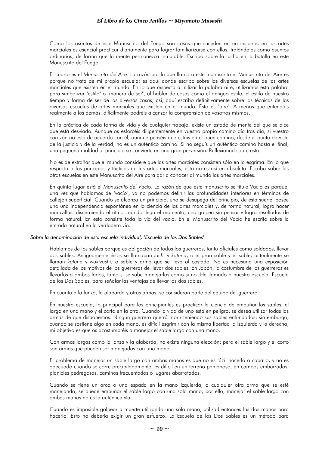Como los asuntos de este Manuscrito del Fuego son cosas que suceden en un instante, en las artes marciales es esencial practicar diariamente para lograr familiarizarse con ellas, tratándolas como asuntos ordinarios, de forma que la mente permanezca inmutable. Escribo sobre la lucha en la batalla en este Manuscrito del Fuego.

El cuarto es el *Manuscrito del Aire*. La razón por la que llamo a este manuscrito el Manuscrito del Aire es porque no trata de mi propia escuela; es aquí donde escribo sobre las diversas escuelas de las artes marciales que existen en el mundo. En lo que respecta a utilizar la palabra aire, utilizamos esta palabra para simbolizar "estilo" o "manera de ser", al hablar de cosas como el antiguo estilo, el estilo de nuestro tiempo y forma de ser de las diversas cosas; así, aquí escribo definitivamente sobre las técnicas de las diversas escuelas de artes marciales que existen en el mundo. Esto es "aire". A menos que entendáis realmente a los demás, difícilmente podréis alcanzar la comprensión de vosotros mismos.

En la práctica de cada forma de vida y de cualquier trabajo, existe un estado de mente del que se dice que está desviado. Aunque os esforcéis diligentemente en vuestro propio camino día tras día, si vuestro corazón no está de acuerdo con él, aunque penséis que estáis en el buen camino, desde el punto de vista de la justicia y de la verdad, no es un auténtico camino. Si no seguís un auténtico camino hasta el final, una pequeña maldad al principio se convierte en una gran perversión. Reflexionad sobre esto.

No es de extrañar que el mundo considere que las artes marciales consisten sólo en la esgrima. En lo que respecta a los principios y tácticas de las artes marciales, esto no es así en absoluto. Escribo sobre las otras escuelas en este Manuscrito del Aire para dar a conocer al mundo las artes marciales.

En quinto lugar está el *Manuscrito del Vacío*. La razón de que este manuscrito se titule Vacío es porque, una vez que hablamos de "vacío", ya no podemos definir las profundidades interiores en términos de callejón superficial. Cuando se alcanza un principio, uno se desapega del principio; de esta suerte, posee uno una independencia espontánea en la ciencia de las artes marciales y, de forma natural, logra hacer maravillas: discerniendo el ritmo cuando llega el momento, uno golpea sin pensar y logra resultados de forma natural. En esto consiste toda la vía del vacío. En el Manuscrito del Vacío he escrito sobre la entrada natural en la verdadera vía.

# *Sobre la denominación de esta escuela individual, "Escuela de los Dos Sables"*

Hablamos de los sables porque es obligación de todos los guerreros, tanto oficiales como soldados, llevar dos sables. Antiguamente éstos se llamaban *tachi* y *katana*, o el gran sable y el sable; actualmente se llaman *katana* y *wakizashi*; o sable y arma que se lleva al costado. No es necesaria una exposición detallada de los motivos de los guerreros de llevar dos sables. En Japón, la costumbre de los guerreros es llevarlos a ambos lados, tanto si se sabe manejarlos como si no. He llamado a nuestra escuela, Escuela de los Dos Sables, para señalar las ventajas de llevar los dos sables.

En cuanto a la lanza, la alabarda y otras armas, se consideran parte del equipo del guerrero.

En nuestra escuela, lo principal para los principiantes es practicar la ciencia de empuñar los sables, el largo en una mano y el corto en la otra. Cuando la vida de uno está en peligro, se desea utilizar todas las armas de que disponemos. Ningún guerrero querrá morir teniendo sus sables enfundados; sin embargo, cuando se sostiene algo en cada mano, es difícil esgrimir con la misma libertad la izquierda y la derecha; mi objetivo es que os acostumbréis a manejar el sable largo con una mano.

Con armas largas como la lanza y la alabarda, no existe ninguna elección; pero el sable largo y el corto son armas que pueden ser manejadas con una mano.

El problema de manejar un sable largo con ambas manos es que no es fácil hacerlo a caballo, y no es adecuado cuando se corre precipitadamente, es difícil en un terreno pantanoso, en campos embarrados, planicies pedregosas, caminos frecuentados o lugares abarrotados.

Cuando se tiene un arco o una espada en la mano izquierda, o cualquier otra arma que se esté manejando, se puede empuñar el sable largo con una sola mano; por ello, manejar el sable largo con ambas manos no es la auténtica vía.

Cuando es imposible golpear a muerte utilizando una sola mano, utilizad entonces las dos manos para hacerlo. Esto no debería exigir un gran esfuerzo. La Escuela de los Dos Sables es un método para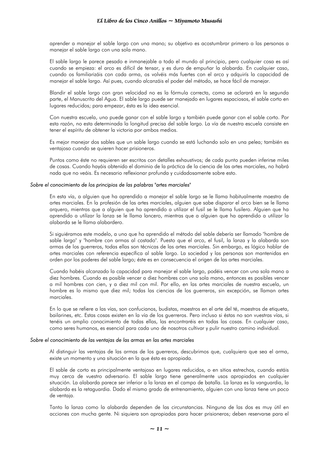aprender a manejar el sable largo con una mano; su objetivo es acostumbrar primero a las personas a manejar el sable largo con una sola mano.

El sable largo le parece pesado e inmanejable a todo el mundo al principio, pero cualquier cosa es así cuando se empieza: el arco es difícil de tensar, y es duro de empuñar la alabarda. En cualquier caso, cuando os familiarizáis con cada arma, os volvéis más fuertes con el arco y adquirís la capacidad de manejar el sable largo. Así pues, cuando alcanzáis el poder del método, se hace fácil de manejar.

Blandir el sable largo con gran velocidad no es la fórmula correcta, como se aclarará en la segunda parte, el Manuscrito del Agua. El sable largo puede ser manejado en lugares espaciosos, el sable corto en lugares reducidos; para empezar, ésta es la idea esencial.

Con nuestra escuela, uno puede ganar con el sable largo y también puede ganar con el sable corto. Por esta razón, no esta determinada la longitud precisa del sable largo. La vía de nuestra escuela consiste en tener el espíritu de obtener la victoria por ambos medios.

Es mejor manejar dos sables que un sable largo cuando se está luchando solo en una pelea; también es ventajoso cuando se quieren hacer prisioneros.

Puntos como éste no requieren ser escritos con detalles exhaustivos; de cada punto pueden inferirse miles de cosas. Cuando hayáis obtenido el dominio de la práctica de la ciencia de las artes marciales, no habrá nada que no veáis. Es necesario reflexionar profunda y cuidadosamente sobre esto.

# *Sobre el conocimiento de los principios de las palabras "artes marciales"*

En esta vía, a alguien que ha aprendido a manejar el sable largo se le llama habitualmente maestro de artes marciales. En la profesión de las artes marciales, alguien que sabe disparar el arco bien se le llama arquero, mientras que a alguien que ha aprendido a utilizar el fusil se le llama fusilero. Alguien que ha aprendido a utilizar la lanza se le llama lancero, mientras que a alguien que ha aprendido a utilizar la alabarda se le llama alabardero.

Si siguiéramos este modelo, a uno que ha aprendido el método del sable debería ser llamado "hombre de sable largo" y "hombre con armas al costado". Puesto que el arco, el fusil, la lanza y la alabarda son armas de los guerreros, todas ellas son técnicas de las artes marciales. Sin embargo, es lógico hablar de artes marciales con referencia específica al sable largo. La sociedad y las personas son mantenidas en orden por los poderes del sable largo; éste es en consecuencia el origen de las artes marciales.

Cuando habéis alcanzado la capacidad para manejar el sable largo, podéis vencer con una sola mano a diez hombres. Cuando es posible vencer a diez hombres con una sola mano, entonces es posibles vencer a mil hombres con cien, y a diez mil con mil. Por ello, en las artes marciales de nuestra escuela, un hombre es lo mismo que diez mil; todas las ciencias de los guerreros, sin excepción, se llaman artes marciales.

En lo que se refiere a las vías, son confucianos, budistas, maestros en el arte del té, maestros de etiqueta, bailarines, etc. Estas cosas existen en la vía de los guerreros. Pero incluso si éstas no son vuestras vías, si tenéis un amplio conocimiento de todas ellas, las encontraréis en todas las cosas. En cualquier caso, como seres humanos, es esencial para cada uno de nosotros cultivar y pulir nuestro camino individual.

#### *Sobre el conocimiento de las ventajas de las armas en las artes marciales*

Al distinguir las ventajas de las armas de los guerreros, descubrimos que, cualquiera que sea el arma, existe un momento y una situación en la que ésta es apropiada.

El sable de corto es principalmente ventajoso en lugares reducidos, o en sitios estrechos, cuando estáis muy cerca de vuestro adversario. El sable largo tiene generalmente usos apropiados en cualquier situación. La alabarda parece ser inferior a la lanza en el campo de batalla. La lanza es la vanguardia, la alabarda es la retaguardia. Dado el mismo grado de entrenamiento, alguien con una lanza tiene un poco de ventaja.

Tanto la lanza como la alabarda dependen de las circunstancias. Ninguna de las dos es muy útil en acciones con mucha gente. Ni siquiera son apropiadas para hacer prisioneros; deben reservarse para el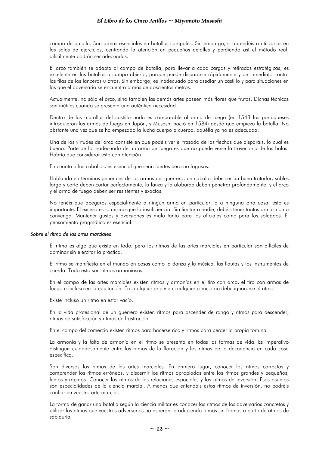campo de batalla. Son armas esenciales en batallas campales. Sin embargo, si aprendéis a utilizarlas en las salas de ejercicios, centrando la atención en pequeños detalles y perdiendo así el método real, difícilmente podrán ser adecuadas.

El arco también se adapta al campo de batalla, para llevar a cabo cargas y retiradas estratégicas; es excelente en las batallas a campo abierto, porque puede dispararse rápidamente y de inmediato contra las filas de los lanceros u otros. Sin embargo, es inadecuado para asediar un castillo y para situaciones en las que el adversario se encuentra a más de doscientos metros.

Actualmente, no sólo el arco, sino también las demás artes poseen más flores que frutos. Dichas técnicas son inútiles cuando se presenta una auténtica necesidad.

Dentro de las murallas del castillo nada es comparable al arma de fuego (en 1543 los portugueses introdujeron las armas de fuego en Japón, y Musashi nació en 1584) desde que empieza la batalla. No obstante una vez que se ha empezado la lucha cuerpo a cuerpo, aquélla ya no es adecuada.

Una de las virtudes del arco consiste en que podéis ver el trazado de las flechas que disparáis, lo cual es bueno. Parte de lo inadecuado de un arma de fuego es que no puede verse la trayectoria de las balas. Habría que considerar esto con atención.

En cuanto a los caballos, es esencial que sean fuertes pero no fogosos.

Hablando en términos generales de las armas del guerrero, un caballo debe ser un buen trotador, sables largo y corto deben cortar perfectamente, la lanza y la alabarda deben penetrar profundamente, y el arco y el arma de fuego deben ser resistentes y exactos.

No tenéis que apegaros especialmente a ningún arma en particular, o a ninguna otra cosa, esto es importante. El exceso es lo mismo que la insuficiencia. Sin limitar a nadie, debéis tener tantas armas como convenga. Mantener gustos y aversiones es malo tanto para los oficiales como para los soldados. El pensamiento pragmático es esencial.

# *Sobre el ritmo de las artes marciales*

El ritmo es algo que existe en todo, pero los ritmos de las artes marciales en particular son difíciles de dominar sin ejercitar la práctica.

El ritmo se manifiesta en el mundo en cosas como la danza y la música, las flautas y los instrumentos de cuerda. Todo esto son ritmos armoniosos.

En el campo de las artes marciales existen ritmos y armonías en el tiro con arco, el tiro con armas de fuego e incluso en la equitación. En cualquier arte y en cualquier ciencia no debe ignorarse el ritmo.

Existe incluso un ritmo en estar vacío.

En la vida profesional de un guerrero existen ritmos para ascender de rango y ritmos para descender, ritmos de satisfacción y ritmos de frustración.

En el campo del comercio existen ritmos para hacerse rico y ritmos para perder la propia fortuna.

La armonía y la falta de armonía en el ritmo se presenta en todas las formas de vida. Es imperativo distinguir cuidadosamente entre los ritmos de la floración y los ritmos de la decadencia en cada cosa específica.

Son diversos los ritmos de las artes marciales. En primero lugar, conocer los ritmos correctos y comprender los ritmos erróneos, y discernir los ritmos apropiados entre los ritmos grandes y pequeños, lentos y rápidos. Conocer los ritmos de las relaciones espaciales y los ritmos de inversión. Esos asuntos son especialidades de la ciencia marcial. A menos que entendáis estos ritmos de inversión, no podréis confiar en vuestro arte marcial.

La forma de ganar una batalla según la ciencia militar es conocer los ritmos de los adversarios concretos y utilizar los ritmos que vuestros adversarios no esperan, produciendo ritmos sin formas a partir de ritmos de sabiduría.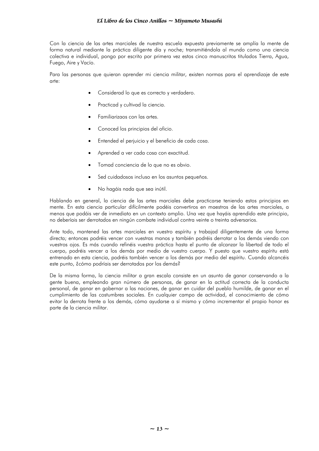Con la ciencia de las artes marciales de nuestra escuela expuesta previamente se amplía la mente de forma natural mediante la práctica diligente día y noche; transmitiéndola al mundo como una ciencia colectiva e individual, pongo por escrito por primera vez estos cinco manuscritos titulados Tierra, Agua, Fuego, Aire y Vacío.

Para las personas que quieran aprender mi ciencia militar, existen normas para el aprendizaje de este arte:

- Considerad lo que es correcto y verdadero.
- Practicad y cultivad la ciencia.
- Familiarizaos con las artes.
- Conoced los principios del oficio.
- Entended el perjuicio y el beneficio de cada cosa.
- Aprended a ver cada cosa con exactitud.
- Tomad conciencia de lo que no es obvio.
- Sed cuidadosos incluso en los asuntos pequeños.
- No hagáis nada que sea inútil.

Hablando en general, la ciencia de las artes marciales debe practicarse teniendo estos principios en mente. En esta ciencia particular difícilmente podéis convertiros en maestros de las artes marciales, a menos que podáis ver de inmediato en un contexto amplio. Una vez que hayáis aprendido este principio, no deberíais ser derrotados en ningún combate individual contra veinte o treinta adversarios.

Ante todo, mantened las artes marciales en vuestro espíritu y trabajad diligentemente de una forma directa; entonces podréis vencer con vuestras manos y también podréis derrotar a los demás viendo con vuestros ojos. Es más cuando refinéis vuestra práctica hasta el punto de alcanzar la libertad de todo el cuerpo, podréis vencer a los demás por medio de vuestro cuerpo. Y puesto que vuestro espíritu está entrenado en esta ciencia, podréis también vencer a los demás por medio del espíritu. Cuando alcancéis este punto, ¿cómo podríais ser derrotados por los demás?

De la misma forma, la ciencia militar a gran escala consiste en un asunto de ganar conservando a la gente buena, empleando gran número de personas, de ganar en la actitud correcta de la conducta personal, de ganar en gobernar a las naciones, de ganar en cuidar del pueblo humilde, de ganar en el cumplimiento de las costumbres sociales. En cualquier campo de actividad, el conocimiento de cómo evitar la derrota frente a los demás, cómo ayudarse a sí mismo y cómo incrementar el propio honor es parte de la ciencia militar.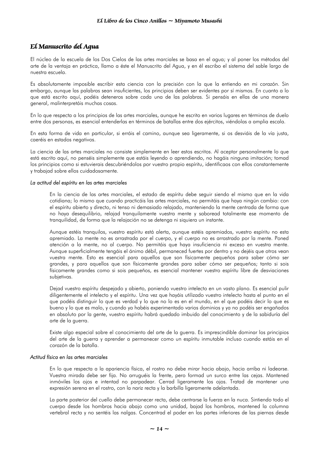# **El Manuscrito del Agua**

El núcleo de la escuela de los Dos Cielos de las artes marciales se basa en el agua; y al poner los métodos del arte de la ventaja en práctica, llamo a éste el Manuscrito del Agua, y en él escribo el sistema del sable largo de nuestra escuela.

Es absolutamente imposible escribir esta ciencia con la precisión con la que la entiendo en mi corazón. Sin embargo, aunque las palabras sean insuficientes, los principios deben ser evidentes por sí mismos. En cuanto a lo que está escrito aquí, podéis deteneros sobre cada una de las palabras. Si pensáis en ellas de una manera general, malinterpretáis muchas cosas.

En lo que respecta a los principios de las artes marciales, aunque he escrito en varios lugares en términos de duelo entre dos personas, es esencial entenderlas en términos de batallas entre dos ejércitos, viéndolas a amplia escala.

En esta forma de vida en particular, si erráis el camino, aunque sea ligeramente, si os desviáis de la vía justa, caeréis en estados negativos.

La ciencia de las artes marciales no consiste simplemente en leer estos escritos. Al aceptar personalmente lo que está escrito aquí, no penséis simplemente que estáis leyendo o aprendiendo, no hagáis ninguna imitación; tomad los principios como si estuvierais descubriéndolos por vuestro propio espíritu, identificaos con ellos constantemente y trabajad sobre ellos cuidadosamente.

# *La actitud del espíritu en las artes marciales*

En la ciencia de las artes marciales, el estado de espíritu debe seguir siendo el mismo que en la vida cotidiana; lo mismo que cuando practicáis las artes marciales, no permitáis que haya ningún cambio: con el espíritu abierto y directo, ni tenso ni demasiado relajado, manteniendo la mente centrada de forma que no haya desequilibrio, relajad tranquilamente vuestra mente y saboread totalmente ese momento de tranquilidad, de forma que la relajación no se detenga ni siquiera un instante.

Aunque estéis tranquilos, vuestro espíritu está alerta, aunque estéis apremiados, vuestro espíritu no esta apremiado. La mente no es arrastrada por el cuerpo, y el cuerpo no es arrastrado por la mente. Poned atención a la mente, no al cuerpo. No permitáis que haya insuficiencia ni exceso en vuestra mente. Aunque superficialmente tengáis el ánimo débil, permaneced fuertes por dentro y no dejéis que otros vean vuestra mente. Esto es esencial para aquellos que son físicamente pequeños para saber cómo ser grandes, y para aquellos que son físicamente grandes para saber cómo ser pequeños; tanto si sois físicamente grandes como si sois pequeños, es esencial mantener vuestro espíritu libre de desviaciones subjetivas.

Dejad vuestro espíritu despejado y abierto, poniendo vuestro intelecto en un vasto plano. Es esencial pulir diligentemente el intelecto y el espíritu. Una vez que hayáis utilizado vuestro intelecto hasta el punto en el que podéis distinguir lo que es verdad y lo que no lo es en el mundo, en el que podéis decir lo que es bueno y lo que es malo, y cuando ya habéis experimentado varios dominios y ya no podéis ser engañados en absoluto por la gente, vuestro espíritu habrá quedado imbuido del conocimiento y de la sabiduría del arte de la guerra.

Existe algo especial sobre el conocimiento del arte de la guerra. Es imprescindible dominar los principios del arte de la guerra y aprender a permanecer como un espíritu inmutable incluso cuando estáis en el corazón de la batalla.

# *Actitud física en las artes marciales*

En lo que respecta a la apariencia física, el rostro no debe mirar hacia abajo, hacia arriba ni ladearse. Vuestra mirada debe ser fija. No arruguéis la frente, pero formad un surco entre las cejas. Mantened inmóviles los ojos e intentad no parpadear. Cerrad ligeramente los ojos. Tratad de mantener una expresión serena en el rostro, con la nariz recta y la barbilla ligeramente adelantada.

La parte posterior del cuello debe permanecer recta, debe centrarse la fuerza en la nuca. Sintiendo todo el cuerpo desde los hombros hacia abajo como una unidad, bajad los hombros, mantened la columna vertebral recta y no sentéis las nalgas. Concentrad el poder en las partes inferiores de las piernas desde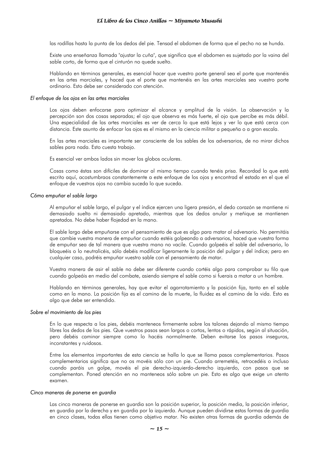las rodillas hasta la punta de los dedos del pie. Tensad el abdomen de forma que el pecho no se hunda.

Existe una enseñanza llamada "ajustar la cuña", que significa que el abdomen es sujetado por la vaina del sable corto, de forma que el cinturón no quede suelto.

Hablando en términos generales, es esencial hacer que vuestro porte general sea el porte que mantenéis en las artes marciales, y haced que el porte que mantenéis en las artes marciales sea vuestro porte ordinario. Esto debe ser considerado con atención.

# *El enfoque de los ojos en las artes marciales*

Los ojos deben enfocarse para optimizar el alcance y amplitud de la visión. La observación y la percepción son dos cosas separadas; el ojo que observa es más fuerte, el ojo que percibe es más débil. Una especialidad de las artes marciales es ver de cerca lo que está lejos y ver lo que está cerca con distancia. Este asunto de enfocar los ojos es el mismo en la ciencia militar a pequeña o a gran escala.

En las artes marciales es importante ser consciente de los sables de los adversarios, de no mirar dichos sables para nada. Esto cuesta trabajo.

Es esencial ver ambos lados sin mover los globos oculares.

Cosas como éstas son difíciles de dominar al mismo tiempo cuando tenéis prisa. Recordad lo que está escrito aquí, acostumbraos constantemente a este enfoque de los ojos y encontrad el estado en el que el enfoque de vuestros ojos no cambia suceda lo que suceda.

# *Cómo empuñar el sable largo*

Al empuñar el sable largo, el pulgar y el índice ejercen una ligera presión, el dedo corazón se mantiene ni demasiado suelto ni demasiado apretado, mientras que los dedos anular y meñique se mantienen apretados. No debe haber flojedad en la mano.

El sable largo debe empuñarse con el pensamiento de que es algo para matar al adversario. No permitáis que cambie vuestra manera de empuñar cuando estéis golpeando a adversarios, haced que vuestra forma de empuñar sea de tal manera que vuestra mano no vacile. Cuando golpeéis el sable del adversario, lo bloqueéis o lo neutralicéis, sólo debéis modificar ligeramente la posición del pulgar y del índice; pero en cualquier caso, podréis empuñar vuestro sable con el pensamiento de matar.

Vuestra manera de asir el sable no debe ser diferente cuando cortéis algo para comprobar su filo que cuando golpeáis en medio del combate, asiendo siempre el sable como si fuerais a matar a un hombre.

Hablando en términos generales, hay que evitar el agarrotamiento y la posición fija, tanto en el sable como en la mano. La posición fija es el camino de la muerte, la fluidez es el camino de la vida. Esto es algo que debe ser entendido.

# *Sobre el movimiento de los pies*

En lo que respecta a los pies, debéis manteneos firmemente sobre los talones dejando al mismo tiempo libres los dedos de los pies. Que vuestros pasos sean largos o cortos, lentos o rápidos, según al situación, pero debéis caminar siempre como lo hacéis normalmente. Deben evitarse los pasos inseguros, inconstantes y ruidosos.

Entre los elementos importantes de esta ciencia se halla lo que se llama pasos complementarios. Pasos complementarios significa que no os movéis sólo con un pie. Cuando arremetéis, retrocedéis o incluso cuando paráis un golpe, movéis el pie derecho-izquierdo-derecho izquierdo, con pasos que se complementan. Poned atención en no manteneos sólo sobre un pie. Esto es algo que exige un atento examen.

# *Cinco maneras de ponerse en guardia*

Las cinco maneras de ponerse en guardia son la posición superior, la posición media, la posición inferior, en guardia por la derecha y en guardia por la izquierda. Aunque pueden dividirse estas formas de guardia en cinco clases, todas ellas tienen como objetivo matar. No existen otras formas de guardia además de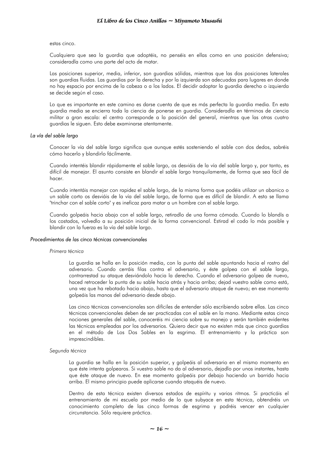estas cinco.

Cualquiera que sea la guardia que adoptéis, no penséis en ellas como en una posición defensiva; consideradla como una parte del acto de matar.

Las posiciones superior, media, inferior, son guardias sólidas, mientras que las dos posiciones laterales son guardias fluidas. Las guardias por la derecha y por la izquierda son adecuadas para lugares en donde no hay espacio por encima de la cabeza o a los lados. El decidir adoptar la guardia derecha o izquierda se decide según el caso.

Lo que es importante en este camino es darse cuenta de que es más perfecta la guardia media. En esta guardia media se encierra toda la ciencia de ponerse en guardia. Consideradla en términos de ciencia militar a gran escala: el centro corresponde a la posición del general, mientras que las otras cuatro guardias le siguen. Esto debe examinarse atentamente.

# *La vía del sable largo*

Conocer la vía del sable largo significa que aunque estés sosteniendo el sable con dos dedos, sabréis cómo hacerlo y blandirlo fácilmente.

Cuando intentéis blandir rápidamente el sable largo, os desviáis de la vía del sable largo y, por tanto, es difícil de manejar. El asunto consiste en blandir el sable largo tranquilamente, de forma que sea fácil de hacer.

Cuando intentáis manejar con rapidez el sable largo, de la misma forma que podéis utilizar un abanico o un sable corto os desviáis de la vía del sable largo, de forma que es difícil de blandir. A esto se llama "trinchar con el sable corto" y es ineficaz para matar a un hombre con el sable largo.

Cuando golpeáis hacia abajo con el sable largo, retiradlo de una forma cómoda. Cuando lo blandís a los costados, volvedlo a su posición inicial de la forma convencional. Estirad el codo lo más posible y blandir con la fuerza es la vía del sable largo.

#### *Procedimientos de las cinco técnicas convencionales*

#### *Primera técnica*

La guardia se halla en la posición media, con la punta del sable apuntando hacia el rostro del adversario. Cuando cerráis filas contra el adversario, y éste golpea con el sable largo, contrarrestad su ataque desviándolo hacia la derecha. Cuando el adversario golpea de nuevo, haced retroceder la punta de su sable hacia atrás y hacia arriba; dejad vuestro sable como está, una vez que ha rebotado hacia abajo, hasta que el adversario ataque de nuevo; en ese momento golpeáis las manos del adversario desde abajo.

Las cinco técnicas convencionales son difíciles de entender sólo escribiendo sobre ellas. Las cinco técnicas convencionales deben de ser practicadas con el sable en la mano. Mediante estas cinco nociones generales del sable, conoceréis mi ciencia sobre su manejo y serán también evidentes las técnicas empleadas por los adversarios. Quiero decir que no existen más que cinco guardias en el método de Los Dos Sables en la esgrima. El entrenamiento y la práctica son imprescindibles.

#### *Segunda técnica*

La guardia se halla en la posición superior, y golpeáis al adversario en el mismo momento en que éste intenta golpearos. Si vuestro sable no da al adversario, dejadlo por unos instantes, hasta que éste ataque de nuevo. En ese momento golpeáis por debajo haciendo un barrido hacia arriba. El mismo principio puede aplicarse cuando ataquéis de nuevo.

Dentro de esta técnica existen diversos estados de espíritu y varios ritmos. Si practicáis el entrenamiento de mi escuela por medio de lo que subyace en esta técnica, obtendréis un conocimiento completo de las cinco formas de esgrima y podréis vencer en cualquier circunstancia. Sólo requiere práctica.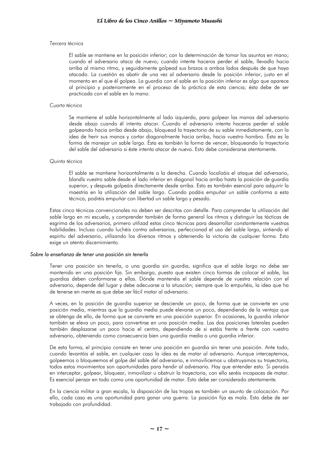# *Tercera técnica*

El sable se mantiene en la posición inferior; con la determinación de tomar los asuntos en mano; cuando el adversario ataca de nuevo; cuando intente haceros perder el sable, llevadlo hacia arriba al mismo ritmo, y seguidamente golpead sus brazos a ambos lados después de que haya atacado. La cuestión es abatir de una vez al adversario desde la posición inferior, justo en el momento en el que él golpea. La guardia con el sable en la posición inferior es algo que aparece al principio y posteriormente en el proceso de la práctica de esta ciencia; ésta debe de ser practicada con el sable en la mano.

#### *Cuarta técnica*

Se mantiene el sable horizontalmente al lado izquierdo, para golpear las manos del adversario desde abajo cuando él intenta atacar. Cuando el adversario intenta haceros perder el sable golpeando hacia arriba desde abajo, bloquead la trayectoria de su sable inmediatamente, con la idea de herir sus manos y cortar diagonalmente hacia arriba, hacia vuestro hombro. Ésta es la forma de manejar un sable largo. Ésta es también la forma de vencer, bloqueando la trayectoria del sable del adversario si éste intenta atacar de nuevo. Esto debe considerarse atentamente.

# *Quinta técnica*

El sable se mantiene horizontalmente a la derecha. Cuando localizáis el ataque del adversario, blandís vuestro sable desde el lado inferior en diagonal hacia arriba hasta la posición de guardia superior, y después golpeáis directamente desde arriba. Esto es también esencial para adquirir la maestría en la utilización del sable largo. Cuando podáis empuñar un sable conforma a esta técnica, podréis empuñar con libertad un sable largo y pesado.

Estas cinco técnicas convencionales no deben ser descritas con detalle. Para comprender la utilización del sable largo en mi escuela, y comprender también de forma general los ritmos y distinguir las tácticas de esgrima de los adversarios, primero utilizad estas cinco técnicas para desarrollar constantemente vuestras habilidades. Incluso cuando luchéis contra adversarios, perfeccionad el uso del sable largo, sintiendo el espíritu del adversario, utilizando los diversos ritmos y obteniendo la victoria de cualquier forma. Esto exige un atento discernimiento.

#### *Sobre la enseñanza de tener una posición sin tenerla*

Tener una posición sin tenerla, o una guardia sin guardia, significa que el sable largo no debe ser mantenido en una posición fija. Sin embargo, puesto que existen cinco formas de colocar el sable, las guardias deben conformarse a ellas. Dónde mantenéis el sable depende de vuestra relación con el adversario, depende del lugar y debe adecuarse a la situación; siempre que lo empuñéis, la idea que ha de tenerse en mente es que debe ser fácil matar al adversario.

A veces, en la posición de guardia superior se desciende un poco, de forma que se convierte en una posición media, mientras que la guardia media puede elevarse un poco, dependiendo de la ventaja que se obtenga de ello, de forma que se convierte en una posición superior. En ocasiones, la guardia inferior también se eleva un poco, para convertirse en una posición media. Las dos posiciones laterales pueden también desplazarse un poco hacia el centro, dependiendo de si estáis frente a frente con vuestro adversario, obteniendo como consecuencia bien una guardia media o una guardia inferior.

De esta forma, el principio consiste en tener una posición en guardia sin tener una posición. Ante todo, cuando levantáis el sable, en cualquier caso la idea es de matar al adversario. Aunque interceptemos, golpeemos o bloqueemos el golpe del sable del adversario, e inmovilicemos u obstruyamos su trayectoria, todos estos movimientos son oportunidades para hendir al adversario. Hay que entender esto. Si pensáis en interceptar, golpear, bloquear, inmovilizar u obstruir la trayectoria, con ello seréis incapaces de matar. Es esencial pensar en todo como una oportunidad de matar. Esto debe ser considerado atentamente.

En la ciencia militar a gran escala, la disposición de las tropas es también un asunto de colocación. Por ello, cada caso es una oportunidad para ganar una guerra. La posición fija es mala. Esto debe de ser trabajado con profundidad.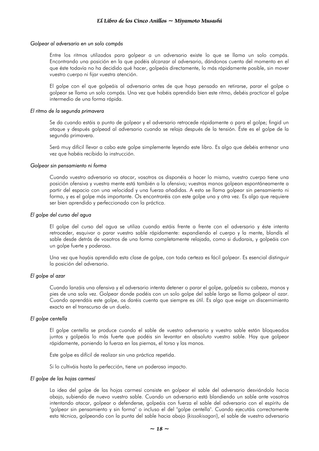#### *Golpear al adversario en un solo compás*

Entre los ritmos utilizados para golpear a un adversario existe lo que se llama un solo compás. Encontrando una posición en la que podéis alcanzar al adversario, dándonos cuenta del momento en el que éste todavía no ha decidido qué hacer, golpeáis directamente, lo más rápidamente posible, sin mover vuestro cuerpo ni fijar vuestra atención.

El golpe con el que golpeáis al adversario antes de que haya pensado en retirarse, parar el golpe o golpear se llama un solo compás. Una vez que habéis aprendido bien este ritmo, debéis practicar el golpe intermedio de una forma rápida.

#### *El ritmo de la segunda primavera*

Se da cuando estáis a punto de golpear y el adversario retrocede rápidamente o para el golpe; fingid un ataque y después golpead al adversario cuando se relaja después de la tensión. Éste es el golpe de la segunda primavera.

Será muy difícil llevar a cabo este golpe simplemente leyendo este libro. Es algo que debéis entrenar una vez que habéis recibido la instrucción.

#### *Golpear sin pensamiento ni forma*

Cuando vuestro adversario va atacar, vosotros os disponéis a hacer lo mismo, vuestro cuerpo tiene una posición ofensiva y vuestra mente está también a la ofensiva; vuestras manos golpean espontáneamente a partir del espacio con una velocidad y una fuerza añadidas. A esto se llama golpear sin pensamiento ni forma, y es el golpe más importante. Os encontraréis con este golpe una y otra vez. Es algo que requiere ser bien aprendido y perfeccionado con la práctica.

# *El golpe del curso del agua*

El golpe del curso del agua se utiliza cuando estáis frente a frente con el adversario y éste intenta retroceder, esquivar o parar vuestro sable rápidamente: expandiendo el cuerpo y la mente, blandís el sable desde detrás de vosotros de una forma completamente relajada, como si dudarais, y golpeáis con un golpe fuerte y poderoso.

Una vez que hayáis aprendido esta clase de golpe, con toda certeza es fácil golpear. Es esencial distinguir la posición del adversario.

# *El golpe al azar*

Cuando lanzáis una ofensiva y el adversario intenta detener o parar el golpe, golpeáis su cabeza, manos y pies de una sola vez. Golpear donde podéis con un solo golpe del sable largo se llama golpear al azar. Cuando aprendáis este golpe, os daréis cuenta que siempre es útil. Es algo que exige un discernimiento exacto en el transcurso de un duelo.

# *El golpe centella*

El golpe centella se produce cuando el sable de vuestro adversario y vuestro sable están bloqueados juntos y golpeáis lo más fuerte que podéis sin levantar en absoluto vuestro sable. Hay que golpear rápidamente, poniendo la fuerza en las piernas, el torso y las manos.

Este golpe es difícil de realizar sin una práctica repetida.

Si lo cultiváis hasta la perfección, tiene un poderoso impacto.

# *El golpe de las hojas carmesí*

La idea del golpe de las hojas carmesí consiste en golpear el sable del adversario desviándolo hacia abajo, subiendo de nuevo vuestro sable. Cuando un adversario está blandiendo un sable ante vosotros intentando atacar, golpear o defenderse, golpeáis con fuerza el sable del adversario con el espíritu de "golpear sin pensamiento y sin forma" o incluso el del "golpe centella". Cuando ejecutáis correctamente esta técnica, golpeando con la punta del sable hacia abajo (*kissakisagari*), el sable de vuestro adversario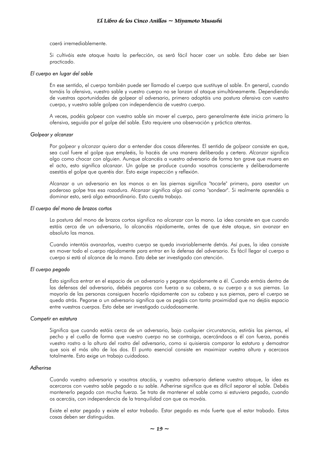caerá irremediablemente.

Si cultiváis este ataque hasta la perfección, os será fácil hacer caer un sable. Esto debe ser bien practicado.

# *El cuerpo en lugar del sable*

En ese sentido, el cuerpo también puede ser llamado el cuerpo que sustituye al sable. En general, cuando tomáis la ofensiva, vuestro sable y vuestro cuerpo no se lanzan al ataque simultáneamente. Dependiendo de vuestras oportunidades de golpear al adversario, primero adoptáis una postura ofensiva con vuestro cuerpo, y vuestro sable golpea con independencia de vuestro cuerpo.

A veces, podéis golpear con vuestro sable sin mover el cuerpo, pero generalmente éste inicia primero la ofensiva, seguida por el golpe del sable. Esto requiere una observación y práctica atentas.

### *Golpear y alcanzar*

Por *golpear* y *alcanzar* quiero dar a entender dos cosas diferentes. El sentido de *golpear* consiste en que, sea cual fuere el golpe que empleéis, lo hacéis de una manera deliberada y certera. *Alcanzar* significa algo como chocar con alguien. Aunque alcancéis a vuestro adversario de forma tan grave que muera en el acto, esto significa alcanzar. Un golpe se produce cuando vosotros consciente y deliberadamente asestáis el golpe que queréis dar. Esto exige inspección y reflexión.

Alcanzar a un adversario en las manos o en las piernas significa "tocarle" primero, para asestar un poderoso golpe tras esa rozadura. Alcanzar significa algo así como "sondear". Si realmente aprendéis a dominar esto, será algo extraordinario. Esto cuesta trabajo.

# *El cuerpo del mono de brazos cortos*

La postura del mono de brazos cortos significa no alcanzar con la mano. La idea consiste en que cuando estáis cerca de un adversario, lo alcancéis rápidamente, antes de que éste ataque, sin avanzar en absoluto las manos.

Cuando intentáis avanzarlas, vuestro cuerpo se queda invariablemente detrás. Así pues, la idea consiste en mover todo el cuerpo rápidamente para entrar en la defensa del adversario. Es fácil llegar al cuerpo a cuerpo si está al alcance de la mano. Esto debe ser investigado con atención.

# *El cuerpo pegado*

Esto significa entrar en el espacio de un adversario y pegarse rápidamente a él. Cuando entráis dentro de las defensas del adversario, debéis pegaros con fuerza a su cabeza, a su cuerpo y a sus piernas. La mayoría de las personas consiguen hacerlo rápidamente con su cabeza y sus piernas, pero el cuerpo se queda atrás. Pegarse a un adversario significa que os pegáis con tanta proximidad que no dejáis espacio entre vuestros cuerpos. Esto debe ser investigado cuidadosamente.

#### *Competir en estatura*

Significa que cuando estáis cerca de un adversario, bajo cualquier circunstancia, estiráis las piernas, el pecho y el cuello de forma que vuestro cuerpo no se contraiga, acercándoos a él con fuerza, ponéis vuestro rostro a la altura del rostro del adversario, como si quisierais comparar la estatura y demostrar que sois el más alto de los dos. El punto esencial consiste en maximizar vuestra altura y acercaos totalmente. Esto exige un trabajo cuidadoso.

# *Adherirse*

Cuando vuestro adversario y vosotros atacáis, y vuestro adversario detiene vuestro ataque, la idea es acercaros con vuestro sable pegado a su sable. Adherirse significa que es difícil separar el sable. Debéis mantenerlo pegado con mucha fuerza. Se trata de mantener el sable como si estuviera pegado, cuando os acercáis, con independencia de la tranquilidad con que os mováis.

Existe el estar pegado y existe el estar trabado. Estar pegado es más fuerte que el estar trabado. Estas cosas deben ser distinguidas.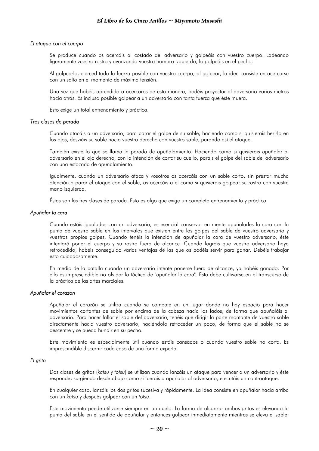# *El ataque con el cuerpo*

Se produce cuando os acercáis al costado del adversario y golpeáis con vuestro cuerpo. Ladeando ligeramente vuestro rostro y avanzando vuestro hombro izquierdo, lo golpeáis en el pecho.

Al golpearlo, ejerced toda la fuerza posible con vuestro cuerpo; al golpear, la idea consiste en acercarse con un salto en el momento de máxima tensión.

Una vez que habéis aprendido a acercaros de esta manera, podéis proyectar al adversario varios metros hacia atrás. Es incluso posible golpear a un adversario con tanta fuerza que éste muera.

Esto exige un total entrenamiento y práctica.

# *Tres clases de parada*

Cuando atacáis a un adversario, para parar el golpe de su sable, haciendo como si quisierais herirlo en los ojos, desviáis su sable hacia vuestra derecha con vuestro sable, parando así el ataque.

También existe lo que se llama la parada de apuñalamiento. Haciendo como si quisierais apuñalar al adversario en el ojo derecho, con la intención de cortar su cuello, paráis el golpe del sable del adversario con una estocada de apuñalamiento.

Igualmente, cuando un adversario ataca y vosotros os acercáis con un sable corto, sin prestar mucha atención a parar el ataque con el sable, os acercáis a él como si quisierais golpear su rostro con vuestra mano izquierda.

Éstas son las tres clases de parada. Esto es algo que exige un completo entrenamiento y práctica.

#### *Apuñalar la cara*

Cuando estáis igualados con un adversario, es esencial conservar en mente apuñalarles la cara con la punta de vuestro sable en los intervalos que existen entre los golpes del sable de vuestro adversario y vuestros propios golpes. Cuando tenéis la intención de apuñalar la cara de vuestro adversario, éste intentará poner el cuerpo y su rostro fuera de alcance. Cuando lográis que vuestro adversario haya retrocedido, habéis conseguido varias ventajas de las que os podéis servir para ganar. Debéis trabajar esto cuidadosamente.

En medio de la batalla cuando un adversario intente ponerse fuera de alcance, ya habéis ganado. Por ello es imprescindible no olvidar la táctica de "apuñalar la cara". Esto debe cultivarse en el transcurso de la práctica de las artes marciales.

# *Apuñalar el corazón*

Apuñalar el corazón se utiliza cuando se combate en un lugar donde no hay espacio para hacer movimientos cortantes de sable por encima de la cabeza hacia los lados, de forma que apuñaláis al adversario. Para hacer fallar el sable del adversario, tenéis que dirigir la parte montante de vuestro sable directamente hacia vuestro adversario, haciéndolo retroceder un poco, de forma que el sable no se descentre y se pueda hundir en su pecho.

Este movimiento es especialmente útil cuando estáis cansados o cuando vuestro sable no corta. Es imprescindible discernir cada caso de una forma experta.

# *El grito*

Dos clases de gritos (*katsu* y *totsu*) se utilizan cuando lanzáis un ataque para vencer a un adversario y éste responde; surgiendo desde abajo como si fuerais a apuñalar al adversario, ejecutáis un contraataque.

En cualquier caso, lanzáis los dos gritos sucesiva y rápidamente. La idea consiste en apuñalar hacia arriba con un *katsu* y después golpear con un *totsu*.

Este movimiento puede utilizarse siempre en un duelo. La forma de alcanzar ambos gritos es elevando la punta del sable en el sentido de apuñalar y entonces golpear inmediatamente mientras se eleva el sable.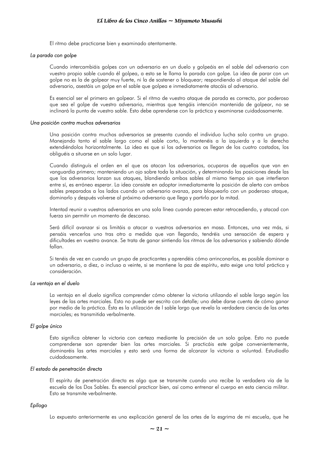El ritmo debe practicarse bien y examinado atentamente.

### *La parada con golpe*

Cuando intercambiáis golpes con un adversario en un duelo y golpeáis en el sable del adversario con vuestro propio sable cuando él golpea, a esto se le llama la parada con golpe. La idea de parar con un golpe no es la de golpear muy fuerte, ni la de sostener o bloquear; respondiendo al ataque del sable del adversario, asestáis un golpe en el sable que golpea e inmediatamente atacáis al adversario.

Es esencial ser el primero en golpear. Si el ritmo de vuestro ataque de parada es correcto, por poderoso que sea el golpe de vuestro adversario, mientras que tengáis intención mantenida de golpear, no se inclinará la punta de vuestro sable. Esto debe aprenderse con la práctica y examinarse cuidadosamente.

#### *Una posición contra muchos adversarios*

Una posición contra muchos adversarios se presenta cuando el individuo lucha solo contra un grupo. Manejando tanto el sable largo como el sable corto, lo mantenéis a la izquierda y a la derecha extendiéndolos horizontalmente. La idea es que si los adversarios os llegan de los cuatro costados, los obliguéis a situarse en un solo lugar.

Cuando distinguís el orden en el que os atacan los adversarios, ocuparos de aquellos que van en vanguardia primero; manteniendo un ojo sobre toda la situación, y determinando las posiciones desde las que los adversarios lanzan sus ataques, blandiendo ambos sables al mismo tiempo sin que interfieran entre sí, es erróneo esperar. La idea consiste en adoptar inmediatamente la posición de alerta con ambos sables preparados a los lados cuando un adversario avanza, para bloquearlo con un poderoso ataque, dominarlo y después volverse al próximo adversario que llega y partirlo por la mitad.

Intentad reunir a vuestros adversarios en una sola línea cuando parecen estar retrocediendo, y atacad con fuerza sin permitir un momento de descanso.

Será difícil avanzar si os limitáis a atacar a vuestros adversarios en masa. Entonces, una vez más, si pensáis vencerlos uno tras otro a medida que van llegando, tendréis una sensación de espera y dificultades en vuestro avance. Se trata de ganar sintiendo los ritmos de los adversarios y sabiendo dónde fallan.

Si tenéis de vez en cuando un grupo de practicantes y aprendéis cómo arrinconarlos, es posible dominar a un adversario, a diez, o incluso a veinte, si se mantiene la paz de espíritu, esto exige una total práctica y consideración.

#### *La ventaja en el duelo*

La ventaja en el duelo significa comprender cómo obtener la victoria utilizando el sable largo según las leyes de las artes marciales. Esto no puede ser escrito con detalle; uno debe darse cuenta de cómo ganar por medio de la práctica. Ésta es la utilización de l sable largo que revela la verdadera ciencia de las artes marciales; es transmitida verbalmente.

#### *El golpe único*

Esto significa obtener la victoria con certeza mediante la precisión de un solo golpe. Esto no puede comprenderse son aprender bien las artes marciales. Si practicáis este golpe convenientemente, dominaréis las artes marciales y esto será una forma de alcanzar la victoria a voluntad. Estudiadlo cuidadosamente.

#### *El estado de penetración directa*

El espíritu de penetración directa es algo que se transmite cuando uno recibe la verdadera vía de la escuela de los Dos Sables. Es esencial practicar bien, así como entrenar el cuerpo en esta ciencia militar. Esto se transmite verbalmente.

### *Epílogo*

Lo expuesto anteriormente es una explicación general de las artes de la esgrima de mi escuela, que he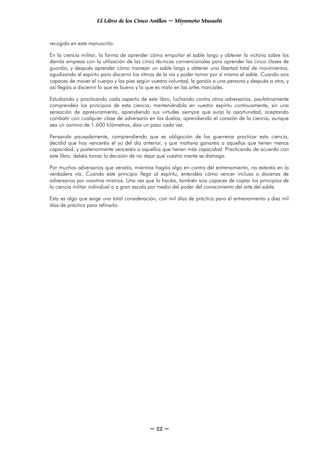recogido en este manuscrito.

En la ciencia militar, la forma de aprender cómo empuñar el sable largo y obtener la victoria sobre los demás empieza con la utilización de las cinco técnicas convencionales para aprender las cinco clases de guardia, y después aprender cómo manejar un sable largo y obtener una libertad total de movimientos, agudizando el espíritu para discernir los ritmos de la vía y poder tomar por sí mismo el sable. Cuando sois capaces de mover el cuerpo y los pies según vuestra voluntad, le ganáis a una persona y después a otra, y así llegáis a discernir lo que es bueno y lo que es malo en las artes marciales.

Estudiando y practicando cada aspecto de este libro, luchando contra otros adversarios, paulatinamente comprendéis los principios de esta ciencia; manteniéndola en vuestro espíritu continuamente, sin una sensación de apresuramiento, aprendiendo sus virtudes siempre que surja la oportunidad, aceptando combatir con cualquier clase de adversario en los duelos, aprendiendo el corazón de la ciencia, aunque sea un camino de 1.600 kilómetros, dais un paso cada vez.

Pensando pausadamente, comprendiendo que es obligación de los guerreros practicar esta ciencia, decidid que hoy venceréis el yo del día anterior, y que mañana ganaréis a aquellos que tienen menos capacidad, y posteriormente venceréis a aquellos que tienen más capacidad. Practicando de acuerdo con este libro, debéis tomar la decisión de no dejar que vuestra mente se distraiga.

Por muchos adversarios que venzáis, mientras hagáis algo en contra del entrenamiento, no estaréis en la verdadera vía. Cuando este principio llega al espíritu, entendéis cómo vencer incluso a docenas de adversarios por vosotros mismos. Una vez que lo hacéis, también sois capaces de captar los principios de la ciencia militar individual o a gran escala por medio del poder del conocimiento del arte del sable.

Esto es algo que exige una total consideración, con mil días de práctica para el entrenamiento y diez mil días de práctica para refinarlo.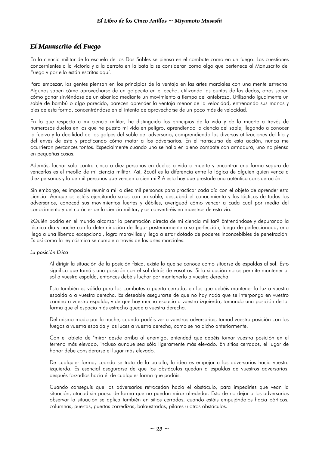# **El Manuscrito del Fuego**

En la ciencia militar de la escuela de los Dos Sables se piensa en el combate como en un fuego. Las cuestiones concernientes a la victoria y a la derrota en la batalla se consideran como algo que pertenece al Manuscrito del Fuego y por ello están escritas aquí.

Para empezar, las gentes piensan en los principios de la ventaja en las artes marciales con una mente estrecha. Algunos saben cómo aprovecharse de un golpecito en el pecho, utilizando las puntas de los dedos, otros saben cómo ganar sirviéndose de un abanico mediante un movimiento a tiempo del antebrazo. Utilizando igualmente un sable de bambú o algo parecido, parecen aprender la ventaja menor de la velocidad, entrenando sus manos y pies de esta forma, concentrándose en el intento de aprovecharse de un poco más de velocidad.

En lo que respecta a mi ciencia militar, he distinguido los principios de la vida y de la muerte a través de numerosos duelos en los que he puesto mi vida en peligro, aprendiendo la ciencia del sable, llegando a conocer la fuerza y la debilidad de los golpes del sable del adversario, comprendiendo las diversas utilizaciones del filo y del envés de éste y practicando cómo matar a los adversarios. En el transcurso de esta acción, nunca me ocurrieron percances tontos. Especialmente cuando uno se halla en pleno combate con armadura, uno no piensa en pequeñas cosas.

Además, luchar solo contra cinco o diez personas en duelos a vida o muerte y encontrar una forma segura de vencerlos es el meollo de mi ciencia militar. Así, *i*cuál es la diferencia entre la lógica de alguien quien vence a diez personas y la de mil personas que vencen a cien mil? A esto hay que prestarle una auténtica consideración.

Sin embargo, es imposible reunir a mil o diez mil personas para practicar cada día con el objeto de aprender esta ciencia. Aunque os estéis ejercitando solos con un sable, descubrid el conocimiento y las tácticas de todos los adversarios, conoced sus movimientos fuertes y débiles, averiguad cómo vencer a cada cual por medio del conocimiento y del carácter de la ciencia militar, y os convertiréis en maestros de esta vía.

¿Quién podría en el mundo alcanzar la penetración directa de mi ciencia militar? Entrenándose y depurando la técnica día y noche con la determinación de llegar posteriormente a su perfección, luego de perfeccionada, uno llega a una libertad excepcional, logra maravillas y llega a estar dotado de poderes inconcebibles de penetración. Es así como la ley cósmica se cumple a través de las artes marciales.

# *La posición física*

Al dirigir la situación de la posición física, existe lo que se conoce como situarse de espaldas al sol. Esto significa que tomáis una posición con el sol detrás de vosotros. Si la situación no os permite mantener al sol a vuestra espalda, entonces debéis luchar por mantenerlo a vuestra derecha.

Esto también es válido para los combates a puerta cerrada, en los que debéis mantener la luz a vuestra espalda o a vuestra derecha. Es deseable asegurarse de que no hay nada que se interponga en vuestro camino a vuestra espalda, y de que hay mucho espacio a vuestra izquierda, tomando una posición de tal forma que el espacio más estrecho quede a vuestra derecha.

Del mismo modo por la noche, cuando podéis ver a vuestros adversarios, tomad vuestra posición con los fuegos a vuestra espalda y las luces a vuestra derecha, como se ha dicho anteriormente.

Con el objeto de "mirar desde arriba al enemigo, entended que debéis tomar vuestra posición en el terreno más elevado, incluso aunque sea sólo ligeramente más elevado. En sitios cerrados, el lugar de honor debe considerarse el lugar más elevado.

De cualquier forma, cuando se trata de la batalla, la idea es empujar a los adversarios hacia vuestra izquierda. Es esencial asegurarse de que los obstáculos quedan a espaldas de vuestros adversarios, después forzadlos hacia él de cualquier forma que podáis.

Cuando conseguís que los adversarios retrocedan hacia el obstáculo, para impedirles que vean la situación, atacad sin pausa de forma que no puedan mirar alrededor. Esto de no dejar a los adversarios observar la situación se aplica también en sitios cerrados, cuando estáis empujándolos hacia pórticos, columnas, puertas, puertas corredizas, balaustradas, pilares u otros obstáculos.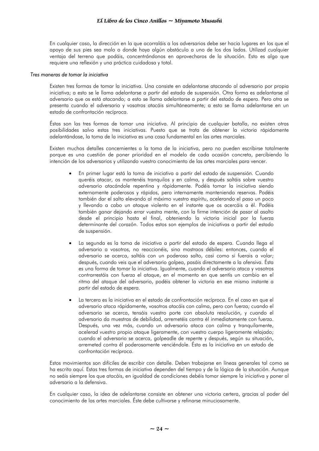En cualquier caso, la dirección en la que acorraláis a los adversarios debe ser hacia lugares en los que el apoyo de sus pies sea malo o donde haya algún obstáculo a uno de los dos lados. Utilizad cualquier ventaja del terreno que podáis, concentrándonos en aprovecharos de la situación. Esto es algo que requiere una reflexión y una práctica cuidadosa y total.

#### *Tres maneras de tomar la iniciativa*

Existen tres formas de tomar la iniciativa. Una consiste en adelantarse atacando al adversario por propia iniciativa; a esto se le llama adelantarse a partir del estado de suspensión. Otra forma es adelantarse al adversario que os está atacando; a esto se llama adelantarse a partir del estado de espera. Pero otra se presenta cuando el adversario y vosotros atacáis simultáneamente; a esto se llama adelantarse en un estado de confrontación recíproca.

Éstas son las tres formas de tomar una iniciativa. Al principio de cualquier batalla, no existen otras posibilidades salvo estas tres iniciativas. Puesto que se trata de obtener la victoria rápidamente adelantándose, la toma de la iniciativa es una cosa fundamental en las artes marciales.

Existen muchos detalles concernientes a la toma de la iniciativa, pero no pueden escribirse totalmente porque es una cuestión de poner prioridad en el modelo de cada ocasión concreta, percibiendo la intención de los adversarios y utilizando vuestro conocimiento de las artes marciales para vencer.

- En primer lugar está la toma de iniciativa a partir del estado de suspensión. Cuando queréis atacar, os mantenéis tranquilos y en calma, y después saltáis sobre vuestro adversario atacándole repentina y rápidamente. Podéis tomar la iniciativa siendo externamente poderosos y rápidos, pero internamente manteniendo reservas. Podéis también dar el salto elevando al máximo vuestro espíritu, acelerando el paso un poco y llevando a cabo un ataque violento en el instante que os acercáis a él. Podéis también ganar dejando errar vuestra mente, con la firme intención de pasar al asalto desde el principio hasta el final, obteniendo la victoria inicial por la fuerza determinante del corazón. Todos estos son ejemplos de iniciativas a partir del estado de suspensión.
- La segunda es la toma de iniciativa a partir del estado de espera. Cuando llega el adversario a vosotros, no reaccionéis, sino mostraos débiles: entonces, cuando el adversario se acerca, saltáis con un poderoso salto, casi como si fuerais a volar; después, cuando veis que el adversario golpea, pasáis directamente a la ofensiva. Ésta es una forma de tomar la iniciativa. Igualmente, cuando el adversario ataca y vosotros contrarrestáis con fuerza el ataque, en el momento en que sentís un cambio en el ritmo del ataque del adversario, podéis obtener la victoria en ese mismo instante a partir del estado de espera.
- La tercera es la iniciativa en el estado de confrontación recíproca. En el caso en que el adversario ataca rápidamente, vosotros atacáis con calma, pero con fuerza; cuando el adversario se acerca, tensáis vuestro porte con absoluta resolución, y cuando el adversario da muestras de debilidad, arremetéis contra él inmediatamente con fuerza. Después, una vez más, cuando un adversario ataca con calma y tranquilamente, acelerad vuestro propio ataque ligeramente, con vuestro cuerpo ligeramente relajado; cuando el adversario se acerca, golpeadle de repente y después, según su situación, arremeted contra él poderosamente venciéndole. Ésta es la iniciativa en un estado de confrontación recíproca.

Estos movimientos son difíciles de escribir con detalle. Deben trabajarse en líneas generales tal como se ha escrito aquí. Estas tres formas de iniciativa dependen del tiempo y de la lógica de la situación. Aunque no seáis siempre los que atacáis, en igualdad de condiciones debéis tomar siempre la iniciativa y poner al adversario a la defensiva.

En cualquier caso, la idea de adelantarse consiste en obtener una victoria certera, gracias al poder del conocimiento de las artes marciales. Éste debe cultivarse y refinarse minuciosamente.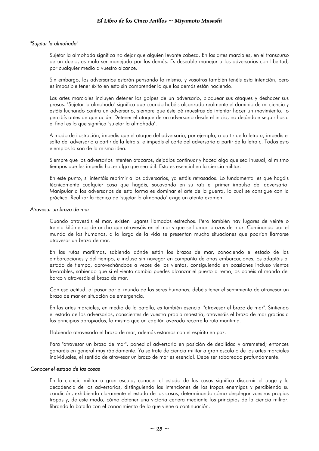#### *"Sujetar la almohada"*

Sujetar la almohada significa no dejar que alguien levante cabeza. En las artes marciales, en el transcurso de un duelo, es malo ser manejado por los demás. Es deseable manejar a los adversarios con libertad, por cualquier medio a vuestro alcance.

Sin embargo, los adversarios estarán pensando lo mismo, y vosotros también tenéis esta intención, pero es imposible tener éxito en esto sin comprender lo que los demás están haciendo.

Las artes marciales incluyen detener los golpes de un adversario, bloquear sus ataques y deshacer sus presas. "Sujetar la almohada" significa que cuando habéis alcanzado realmente el dominio de mi ciencia y estáis luchando contra un adversario, siempre que éste dé muestras de intentar hacer un movimiento, lo percibís antes de que actúe. Detener el ataque de un adversario desde el inicio, no dejándole seguir hasta el final es lo que significa "sujetar la almohada".

A modo de ilustración, impedís que el ataque del adversario, por ejemplo, a partir de la letra *a*; impedís el salto del adversario a partir de la letra *s*, e impedís el corte del adversario a partir de la letra *c*. Todos esto ejemplos lo son de la misma idea.

Siempre que los adversarios intenten atacaros, dejadlos continuar y haced algo que sea inusual, al mismo tiempos que les impedís hacer algo que sea útil. Esto es esencial en la ciencia militar.

En este punto, si intentáis reprimir a los adversarios, ya estáis retrasados. Lo fundamental es que hagáis técnicamente cualquier cosa que hagáis, socavando en su raíz el primer impulso del adversario. Manipular a los adversarios de esta forma es dominar el arte de la guerra, lo cual se consigue con la práctica. Realizar la técnica de "sujetar la almohada" exige un atento examen.

# *Atravesar un brazo de mar*

Cuando atravesáis el mar, existen lugares llamados estrechos. Pero también hay lugares de veinte o treinta kilómetros de ancho que atravesáis en el mar y que se llaman brazos de mar. Caminando por el mundo de los humanos, a lo largo de la vida se presentan mucha situaciones que podrían llamarse atravesar un brazo de mar.

En las rutas marítimas, sabiendo dónde están los brazos de mar, conociendo el estado de las embarcaciones y del tiempo, e incluso sin navegar en compañía de otras embarcaciones, os adaptáis al estado de tiempo, aprovechándoos a veces de los vientos, consiguiendo en ocasiones incluso vientos favorables, sabiendo que si el viento cambia puedes alcanzar el puerto a remo, os ponéis al mando del barco y atravesáis el brazo de mar.

Con esa actitud, al pasar por el mundo de los seres humanos, debéis tener el sentimiento de atravesar un brazo de mar en situación de emergencia.

En las artes marciales, en medio de la batalla, es también esencial "atravesar el brazo de mar". Sintiendo el estado de los adversarios, conscientes de vuestra propia maestría, atravesáis el brazo de mar gracias a los principios apropiados, lo mismo que un capitán avezado recorre la ruta marítima.

Habiendo atravesado el brazo de mar, además estamos con el espíritu en paz.

Para "atravesar un brazo de mar", poned al adversario en posición de debilidad y arremeted; entonces ganaréis en general muy rápidamente. Ya se trate de ciencia militar a gran escala o de las artes marciales individuales, el sentido de atravesar un brazo de mar es esencial. Debe ser saboreado profundamente.

#### *Conocer el estado de las cosas*

En la ciencia militar a gran escala, conocer el estado de las cosas significa discernir el auge y la decadencia de los adversarios, distinguiendo las intenciones de las tropas enemigas y percibiendo su condición, exhibiendo claramente el estado de las cosas, determinando cómo desplegar vuestras propias tropas y, de este modo, cómo obtener una victoria certera mediante los principios de la ciencia militar, librando la batalla con el conocimiento de lo que viene a continuación.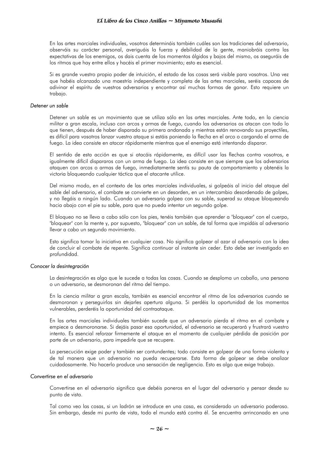En las artes marciales individuales, vosotros determináis también cuáles son las tradiciones del adversario, observáis su carácter personal, averiguáis la fuerza y debilidad de la gente, maniobráis contra las expectativas de los enemigos, os dais cuenta de los momentos álgidos y bajos del mismo, os aseguráis de los ritmos que hay entre ellos y hacéis el primer movimiento; esto es esencial.

Si es grande vuestro propio poder de intuición, el estado de las cosas será visible para vosotros. Una vez que habéis alcanzado una maestría independiente y completa de las artes marciales, seréis capaces de adivinar el espíritu de vuestros adversarios y encontrar así muchas formas de ganar. Esto requiere un trabajo.

# *Detener un sable*

Detener un sable es un movimiento que se utiliza sólo en las artes marciales. Ante todo, en la ciencia militar a gran escala, incluso con arcos y armas de fuego, cuando los adversarios os atacan con todo lo que tienen, después de haber disparado su primera andanada y mientras están renovando sus proyectiles, es difícil para vosotros lanzar vuestro ataque si estáis poniendo la flecha en el arco o cargando el arma de fuego. La idea consiste en atacar rápidamente mientras que el enemigo está intentando disparar.

El sentido de esta acción es que si atacáis rápidamente, es difícil usar las flechas contra vosotros, e igualmente difícil dispararos con un arma de fuego. La idea consiste en que siempre que los adversarios ataquen con arcos o armas de fuego, inmediatamente sentís su pauta de comportamiento y obtenéis la victoria bloqueando cualquier táctica que el atacante utilice.

Del mismo modo, en el contexto de las artes marciales individuales, si golpeáis al inicio del ataque del sable del adversario, el combate se convierte en un desorden, en un intercambio desordenado de golpes, y no llegáis a ningún lado. Cuando un adversario golpea con su sable, superad su ataque bloqueando hacia abajo con el pie su sable, para que no pueda intentar un segundo golpe.

El bloqueo no se lleva a cabo sólo con los pies, tenéis también que aprender a "bloquear" con el cuerpo, "bloquear" con la mente y, por supuesto, "bloquear" con un sable, de tal forma que impidáis al adversario llevar a cabo un segundo movimiento.

Esto significa tomar la iniciativa en cualquier cosa. No significa golpear al azar al adversario con la idea de concluir el combate de repente. Significa continuar al instante sin ceder. Esto debe ser investigado en profundidad.

# *Conocer la desintegración*

La desintegración es algo que le sucede a todas las cosas. Cuando se desploma un caballo, una persona o un adversario, se desmoronan del ritmo del tiempo.

En la ciencia militar a gran escala, también es esencial encontrar el ritmo de los adversarios cuando se desmoronan y perseguirlos sin dejarles apertura alguna. Si perdéis la oportunidad de los momentos vulnerables, perderéis la oportunidad del contraataque.

En las artes marciales individuales también sucede que un adversario pierda el ritmo en el combate y empiece a desmoronarse. Si dejáis pasar esa oportunidad, el adversario se recuperará y frustrará vuestro intento. Es esencial reforzar firmemente el ataque en el momento de cualquier pérdida de posición por parte de un adversario, para impedirle que se recupere.

La persecución exige poder y también ser contundentes; todo consiste en golpear de una forma violenta y de tal manera que un adversario no pueda recuperarse. Esta forma de golpear se debe analizar cuidadosamente. No hacerlo produce una sensación de negligencia. Esto es algo que exige trabajo.

#### *Convertirse en el adversario*

Convertirse en el adversario significa que debéis poneros en el lugar del adversario y pensar desde su punto de vista.

Tal como veo las cosas, si un ladrón se introduce en una casa, es considerado un adversario poderoso. Sin embargo, desde mi punto de vista, todo el mundo está contra él. Se encuentra arrinconado en una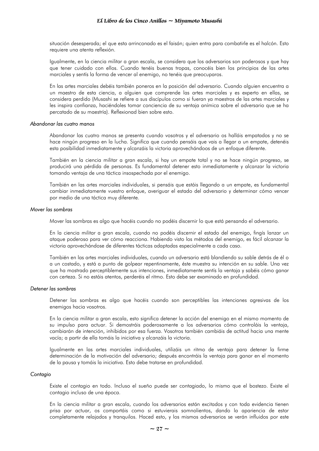situación desesperada; el que esta arrinconado es el faisán; quien entra para combatirle es el halcón. Esto requiere una atenta reflexión.

Igualmente, en la ciencia militar a gran escala, se considera que los adversarios son poderosos y que hay que tener cuidado con ellos. Cuando tenéis buenas tropas, conocéis bien los principios de las artes marciales y sentís la forma de vencer al enemigo, no tenéis que preocuparos.

En las artes marciales debéis también poneros en la posición del adversario. Cuando alguien encuentra a un maestro de esta ciencia, a alguien que comprende las artes marciales y es experto en ellas, se considera perdido (Musashi se refiere a sus discípulos como si fueran ya maestros de las artes marciales y les inspira confianza, haciéndoles tomar conciencia de su ventaja anímica sobre el adversario que se ha percatado de su maestría). Reflexionad bien sobre esto.

# *Abandonar las cuatro manos*

Abandonar las cuatro manos se presenta cuando vosotros y el adversario os halláis empatados y no se hace ningún progreso en la lucha. Significa que cuando pensáis que vais a llegar a un empate, detenéis esta posibilidad inmediatamente y alcanzáis la victoria aprovechándoos de un enfoque diferente.

También en la ciencia militar a gran escala, si hay un empate total y no se hace ningún progreso, se producirá una pérdida de personas. Es fundamental detener esto inmediatamente y alcanzar la victoria tomando ventaja de una táctica insospechada por el enemigo.

También en las artes marciales individuales, si pensáis que estáis llegando a un empate, es fundamental cambiar inmediatamente vuestro enfoque, averiguar el estado del adversario y determinar cómo vencer por medio de una táctica muy diferente.

# *Mover las sombras*

Mover las sombras es algo que hacéis cuando no podéis discernir lo que está pensando el adversario.

En la ciencia militar a gran escala, cuando no podéis discernir el estado del enemigo, fingís lanzar un ataque poderoso para ver cómo reacciona. Habiendo visto los métodos del enemigo, es fácil alcanzar la victoria aprovechándose de diferentes tácticas adaptadas especialmente a cada caso.

También en las artes marciales individuales, cuando un adversario está blandiendo su sable detrás de él o a un costado, y está a punto de golpear repentinamente, éste muestra su intención en su sable. Una vez que ha mostrado perceptiblemente sus intenciones, inmediatamente sentís la ventaja y sabéis cómo ganar con certeza. Si no estáis atentos, perderéis el ritmo. Esto debe ser examinado en profundidad.

# *Detener las sombras*

Detener las sombras es algo que hacéis cuando son perceptibles las intenciones agresivas de los enemigos hacia vosotros.

En la ciencia militar a gran escala, esto significa detener la acción del enemigo en el mismo momento de su impulso para actuar. Si demostráis poderosamente a los adversarios cómo controláis la ventaja, cambiarán de intención, inhibidos por esa fuerza. Vosotros también cambiáis de actitud hacia una mente vacía; a partir de ella tomáis la iniciativa y alcanzáis la victoria.

Igualmente en las artes marciales individuales, utilizáis un ritmo de ventaja para detener la firme determinación de la motivación del adversario; después encontráis la ventaja para ganar en el momento de la pausa y tomáis la iniciativa. Esto debe tratarse en profundidad.

#### *Contagio*

Existe el contagio en todo. Incluso el sueño puede ser contagiado, lo mismo que el bostezo. Existe el contagio incluso de una época.

En la ciencia militar a gran escala, cuando los adversarios están excitados y con toda evidencia tienen prisa por actuar, os comportáis como si estuvierais somnolientos, dando la apariencia de estar completamente relajados y tranquilos. Haced esto, y los mismos adversarios se verán influidos por este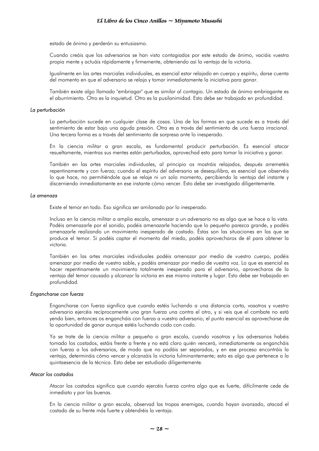estado de ánimo y perderán su entusiasmo.

Cuando creáis que los adversarios se han visto contagiados por este estado de ánimo, vaciáis vuestra propia mente y actuáis rápidamente y firmemente, obteniendo así la ventaja de la victoria.

Igualmente en las artes marciales individuales, es esencial estar relajado en cuerpo y espíritu, darse cuenta del momento en que el adversario se relaja y tomar inmediatamente la iniciativa para ganar.

También existe algo llamado "embriagar" que es similar al contagio. Un estado de ánimo embriagante es el aburrimiento. Otro es la inquietud. Otro es la pusilanimidad. Esto debe ser trabajado en profundidad.

#### *La perturbación*

La perturbación sucede en cualquier clase de cosas. Una de las formas en que sucede es a través del sentimiento de estar bajo una aguda presión. Otra es a través del sentimiento de una fuerza irracional. Una tercera forma es a través del sentimiento de sorpresa ante lo inesperado.

En la ciencia militar a gran escala, es fundamental producir perturbación. Es esencial atacar resueltamente, mientras sus mentes están perturbadas, aprovechad esto para tomar la iniciativa y ganar.

También en las artes marciales individuales, al principio os mostráis relajados, después arremetéis repentinamente y con fuerza; cuando el espíritu del adversario se desequilibra, es esencial que observéis lo que hace, no permitiéndole que se relaje ni un solo momento, percibiendo la ventaja del instante y discerniendo inmediatamente en ese instante cómo vencer. Esto debe ser investigado diligentemente.

#### *La amenaza*

Existe el temor en todo. Eso significa ser amilanado por lo inesperado.

Incluso en la ciencia militar a amplia escala, amenazar a un adversario no es algo que se hace a la vista. Podéis amenazarle por el sonido, podéis amenazarle haciendo que lo pequeño parezca grande, y podéis amenazarle realizando un movimiento inesperado de costado. Éstas son las situaciones en las que se produce el temor. Si podéis captar el momento del miedo, podéis aprovecharos de él para obtener la victoria.

También en las artes marciales individuales podéis amenazar por medio de vuestro cuerpo, podéis amenazar por medio de vuestro sable, y podéis amenazar por medio de vuestra voz. Lo que es esencial es hacer repentinamente un movimiento totalmente inesperado para el adversario, aprovecharos de la ventaja del temor causado y alcanzar la victoria en ese mismo instante y lugar. Esto debe ser trabajado en profundidad.

#### *Engancharse con fuerza*

Engancharse con fuerza significa que cuando estéis luchando a una distancia corta, vosotros y vuestro adversario ejercéis recíprocamente una gran fuerza una contra el otro, y si veis que el combate no está yendo bien, entonces os engancháis con fuerza a vuestro adversario; el punto esencial es aprovecharse de la oportunidad de ganar aunque estéis luchando codo con codo.

Ya se trate de la ciencia militar a pequeña o gran escala, cuando vosotros y los adversarios habéis tomado los costados, estáis frente a frente y no está claro quién vencerá, inmediatamente os engancháis con fuerza a los adversarios, de modo que no podáis ser separados, y en ese proceso encontráis la ventaja, determináis cómo vencer y alcanzáis la victoria fulminantemente; esto es algo que pertenece a la quintaesencia de la técnica. Esto debe ser estudiado diligentemente.

# *Atacar los costados*

Atacar los costados significa que cuando ejercéis fuerza contra algo que es fuerte, difícilmente cede de inmediato y por las buenas.

En la ciencia militar a gran escala, observad las tropas enemigas, cuando hayan avanzado, atacad el costado de su frente más fuerte y obtendréis la ventaja.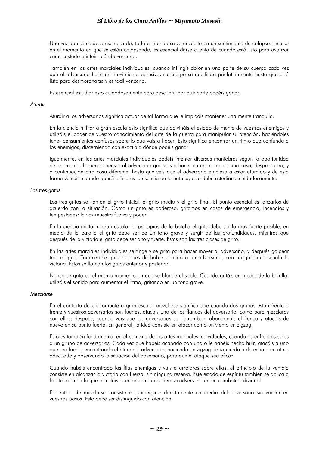Una vez que se colapsa ese costado, todo el mundo se ve envuelto en un sentimiento de colapso. Incluso en el momento en que se están colapsando, es esencial darse cuenta de cuándo está listo para avanzar cada costado e intuir cuándo vencerlo.

También en las artes marciales individuales, cuando inflingís dolor en una parte de su cuerpo cada vez que el adversario hace un movimiento agresivo, su cuerpo se debilitará paulatinamente hasta que está listo para desmoronarse y es fácil vencerlo.

Es esencial estudiar esto cuidadosamente para descubrir por qué parte podéis ganar.

### *Aturdir*

Aturdir a los adversarios significa actuar de tal forma que le impidáis mantener una mente tranquila.

En la ciencia militar a gran escala esto significa que adivináis el estado de mente de vuestros enemigos y utilizáis el poder de vuestro conocimiento del arte de la guerra para manipular su atención, haciéndoles tener pensamientos confusos sobre lo que vais a hacer. Esto significa encontrar un ritmo que confunda a los enemigos, discerniendo con exactitud dónde podéis ganar.

Igualmente, en las artes marciales individuales podéis intentar diversas maniobras según la oportunidad del momento, haciendo pensar al adversario que vais a hacer en un momento una cosa, después otra, y a continuación otra cosa diferente, hasta que veis que el adversario empieza a estar aturdido y de esta forma vencéis cuando queréis. Ésta es la esencia de la batalla; esto debe estudiarse cuidadosamente.

# *Los tres gritos*

Los tres gritos se llaman el grito inicial, el grito medio y el grito final. El punto esencial es lanzarlos de acuerdo con la situación. Como un grito es poderoso, gritamos en casos de emergencia, incendios y tempestades; la voz muestra fuerza y poder.

En la ciencia militar a gran escala, al principios de la batalla el grito debe ser lo más fuerte posible, en medio de la batalla el grito debe ser de un tono grave y surgir de las profundidades, mientras que después de la victoria el grito debe ser alto y fuerte. Éstas son las tres clases de grito.

En las artes marciales individuales se finge y se grita para hacer mover al adversario, y después golpear tras el grito. También se grita después de haber abatido a un adversario, con un grito que señala la victoria. Éstos se llaman los gritos anterior y posterior.

Nunca se grita en el mismo momento en que se blande el sable. Cuando gritáis en medio de la batalla, utilizáis el sonido para aumentar el ritmo, gritando en un tono grave.

### *Mezclarse*

En el contexto de un combate a gran escala, mezclarse significa que cuando dos grupos están frente a frente y vuestros adversarios son fuertes, atacáis uno de los flancos del adversario, como para mezclaros con ellos; después, cuando veis que los adversarios se derrumban, abandonáis el flanco y atacáis de nuevo en su punto fuerte. En general, la idea consiste en atacar como un viento en zigzag.

Esto es también fundamental en el contexto de las artes marciales individuales, cuando os enfrentáis solos a un grupo de adversarios. Cada vez que habéis acabado con uno o le habéis hecho huir, atacáis a uno que sea fuerte, encontrando el ritmo del adversario, haciendo un zigzag de izquierda a derecha a un ritmo adecuado y observando la situación del adversario, para que el ataque sea eficaz.

Cuando habéis encontrado las filas enemigas y vais a arrojaros sobre ellas, el principio de la ventaja consiste en alcanzar la victoria con fuerza, sin ninguna reserva. Este estado de espíritu también se aplica a la situación en la que os estáis acercando a un poderoso adversario en un combate individual.

El sentido de mezclarse consiste en sumergirse directamente en medio del adversario sin vacilar en vuestros pasos. Esto debe ser distinguido con atención.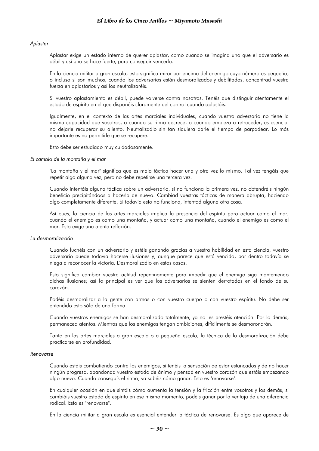#### *Aplastar*

Aplastar exige un estado interno de querer aplastar, como cuando se imagina uno que el adversario es débil y así uno se hace fuerte, para conseguir vencerlo.

En la ciencia militar a gran escala, esto significa mirar por encima del enemigo cuyo número es pequeño, o incluso si son muchos, cuando los adversarios están desmoralizados y debilitados, concentrad vuestra fuerza en aplastarlos y así los neutralizaréis.

Si vuestro aplastamiento es débil, puede volverse contra nosotros. Tenéis que distinguir atentamente el estado de espíritu en el que disponéis claramente del control cuando aplastáis.

Igualmente, en el contexto de las artes marciales individuales, cuando vuestro adversario no tiene la misma capacidad que vosotros, o cuando su ritmo decrece, o cuando empieza a retroceder, es esencial no dejarle recuperar su aliento. Neutralizadlo sin tan siquiera darle el tiempo de parpadear. Lo más importante es no permitirle que se recupere.

Esto debe ser estudiado muy cuidadosamente.

#### *El cambio de la montaña y el mar*

"La montaña y el mar" significa que es mala táctica hacer una y otra vez lo mismo. Tal vez tengáis que repetir algo alguna vez, pero no debe repetirse una tercera vez.

Cuando intentáis alguna táctica sobre un adversario, si no funciona la primera vez, no obtendréis ningún beneficio precipitándoos a hacerla de nuevo. Cambiad vuestras tácticas de manera abrupta, haciendo algo completamente diferente. Si todavía esto no funciona, intentad alguna otra cosa.

Así pues, la ciencia de las artes marciales implica la presencia del espíritu para actuar como el mar, cuando el enemigo es como una montaña, y actuar como una montaña, cuando el enemigo es como el mar. Esto exige una atenta reflexión.

# *La desmoralización*

Cuando luchéis con un adversario y estéis ganando gracias a vuestra habilidad en esta ciencia, vuestro adversario puede todavía hacerse ilusiones y, aunque parece que está vencido, por dentro todavía se niega a reconocer la victoria. Desmoralizadlo en estos casos.

Esto significa cambiar vuestra actitud repentinamente para impedir que el enemigo siga manteniendo dichas ilusiones; así lo principal es ver que los adversarios se sienten derrotados en el fondo de su corazón.

Podéis desmoralizar a la gente con armas o con vuestro cuerpo o con vuestro espíritu. No debe ser entendido esto sólo de una forma.

Cuando vuestros enemigos se han desmoralizado totalmente, ya no les prestéis atención. Por lo demás, permaneced atentos. Mientras que los enemigos tengan ambiciones, difícilmente se desmoronarán.

Tanto en las artes marciales a gran escala o a pequeña escala, la técnica de la desmoralización debe practicarse en profundidad.

#### *Renovarse*

Cuando estáis combatiendo contra los enemigos, si tenéis la sensación de estar estancados y de no hacer ningún progreso, abandonad vuestro estado de ánimo y pensad en vuestro corazón que estáis empezando algo nuevo. Cuando conseguís el ritmo, ya sabéis cómo ganar. Esto es "renovarse".

En cualquier ocasión en que sintáis cómo aumenta la tensión y la fricción entre vosotros y los demás, si cambiáis vuestro estado de espíritu en ese mismo momento, podéis ganar por la ventaja de una diferencia radical. Esto es "renovarse".

En la ciencia militar a gran escala es esencial entender la táctica de renovarse. Es algo que aparece de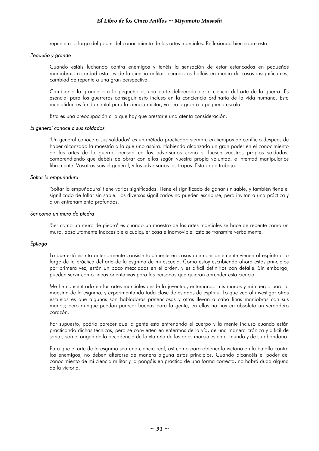repente a lo largo del poder del conocimiento de las artes marciales. Reflexionad bien sobre esto.

# *Pequeño y grande*

Cuando estáis luchando contra enemigos y tenéis la sensación de estar estancados en pequeñas maniobras, recordad esta ley de la ciencia militar: cuando os halláis en medio de cosas insignificantes, cambiad de repente a una gran perspectiva.

Cambiar a lo grande o a lo pequeño es una parte deliberada de la ciencia del arte de la guerra. Es esencial para los guerreros conseguir esto incluso en la conciencia ordinaria de la vida humana. Esta mentalidad es fundamental para la ciencia militar, ya sea a gran o a pequeña escala.

Ésta es una preocupación a la que hay que prestarle una atenta consideración.

# *El general conoce a sus soldados*

"Un general conoce a sus soldados" es un método practicado siempre en tiempos de conflicto después de haber alcanzado la maestría a la que uno aspira. Habiendo alcanzado un gran poder en el conocimiento de las artes de la guerra, pensad en los adversarios como si fuesen vuestros propios soldados, comprendiendo que debéis de obrar con ellos según vuestra propia voluntad, e intentad manipularlos libremente. Vosotros sois el general, y los adversarios las tropas. Esto exige trabajo.

#### *Soltar la empuñadura*

"Soltar la empuñadura" tiene varios significados. Tiene el significado de ganar sin sable, y también tiene el significado de fallar sin sable. Los diversos significados no pueden escribirse, pero invitan a una práctica y a un entrenamiento profundos.

#### *Ser como un muro de piedra*

"Ser como un muro de piedra" es cuando un maestro de las artes marciales se hace de repente como un muro, absolutamente inaccesible a cualquier cosa e inamovible. Esto se transmite verbalmente.

#### *Epílogo*

Lo que está escrito anteriormente consiste totalmente en cosas que constantemente vienen al espíritu a lo largo de la práctica del arte de la esgrima de mi escuela. Como estoy escribiendo ahora estos principios por primera vez, están un poco mezclados en el orden, y es difícil definirlos con detalle. Sin embargo, pueden servir como líneas orientativas para las personas que quieran aprender esta ciencia.

Me he concentrado en las artes marciales desde la juventud, entrenando mis manos y mi cuerpo para la maestría de la esgrima, y experimentando toda clase de estados de espíritu. Lo que veo al investigar otras escuelas es que algunas son habladoras pretenciosas y otras llevan a cabo finas maniobras con sus manos; pero aunque puedan parecer buenas para la gente, en ellas no hay en absoluto un verdadero corazón.

Por supuesto, podría parecer que la gente está entrenando el cuerpo y la mente incluso cuando están practicando dichas técnicas, pero se convierten en enfermos de la vía, de una manera crónica y difícil de sanar; son el origen de la decadencia de la vía reta de las artes marciales en el mundo y de su abandono.

Para que el arte de la esgrima sea una ciencia real, así como para obtener la victoria en la batalla contra los enemigos, no deben alterarse de manera alguna estos principios. Cuando alcancéis el poder del conocimiento de mi ciencia militar y la pongáis en práctica de una forma correcta, no habrá duda alguna de la victoria.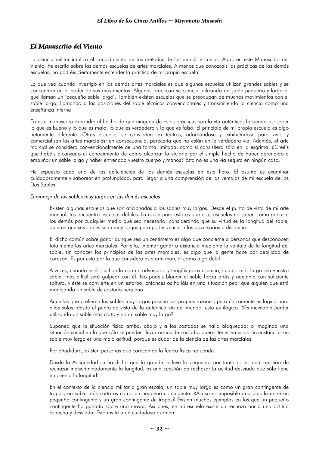# **El Manuscrito del Viento**

La ciencia militar implica el conocimiento de los métodos de las demás escuelas. Aquí, en este Manuscrito del Viento, he escrito sobre las demás escuelas de artes marciales. A menos que conozcáis las prácticas de las demás escuelas, no podréis ciertamente entender la práctica de mi propia escuela.

Lo que veo cuando investigo en las demás artes marciales es que algunas escuelas utilizan grandes sables y se concentran en el poder de sus movimientos. Algunas practican su ciencia utilizando un sable pequeño y largo al que llaman un "pequeño sable largo". También existen escuelas que se preocupan de muchos movimientos con el sable largo, llamando a las posiciones del sable técnicas convencionales y transmitiendo la ciencia como una enseñanza interna

En este manuscrito expondré el hecho de que ninguna de estas prácticas son la vía auténtica, haciendo así saber lo que es bueno y lo que es malo, lo que es verdadero y lo que es falso. El principio de mi propia escuela es algo netamente diferente. Otras escuelas se convierten en teatros, adornándose y exhibiéndose para vivir, y comercializan las artes marciales; en consecuencia, parecería que no están en la verdadera vía. Además, el arte marcial se considera convencionalmente de una forma limitada, como si consistiera sólo en la esgrima. ¿Creéis que habéis alcanzado el conocimiento de cómo alcanzar la victoria por el simple hecho de haber aprendido a empuñar un sable largo y haber entrenado vuestro cuerpo y manos? Ésta no es una vía segura en ningún caso.

He expuesto cada una de las deficiencias de las demás escuelas en este libro. El asunto es examinar cuidadosamente y saborear en profundidad, para llegar a una comprensión de las ventajas de mi escuela de los Dos Sables.

# *El manejo de los sables muy largos en las demás escuelas*

Existen algunas escuelas que son aficionadas a los sables muy largos. Desde el punto de vista de mi arte marcial, las encuentro escuelas débiles. La razón para esto es que esas escuelas no saben cómo ganar a los demás por cualquier medio que sea necesario; considerando que su virtud es la longitud del sable, quieren que sus sables sean muy largos para poder vencer a los adversarios a distancia.

El dicho común sobre ganar aunque sea un centímetro es algo que concierne a personas que desconocen totalmente las artes marciales. Por ello, intentar ganar a distancia mediante la ventaja de la longitud del sable, sin conocer los principios de las artes marciales, es algo que la gente hace por debilidad de corazón. Es por esto por lo que considero este arte marcial como algo débil.

A veces, cuando estéis luchando con un adversario y tengáis poco espacio, cuanto más largo sea vuestro sable, más difícil será golpear con él. No podéis blandir el sable hacia atrás y adelante con suficiente soltura, y éste se convierte en un estorbo. Entonces os halláis en una situación peor que alguien que está manejando un sable de costado pequeño.

Aquellos que prefieren los sables muy largos poseen sus propias razones, pero únicamente es lógico para ellos solos; desde el punto de vista de la auténtica vía del mundo, esto es ilógico. ¿Es inevitable perder utilizando un sable más corto y no un sable muy largo?

Suponed que la situación física arriba, abajo y a los costados se halla bloqueada; o imaginad una situación social en la que sólo se pueden llevar armas de costado; querer tener en estas circunstancias un sable muy largo es una mala actitud, porque es dudar de la ciencia de las artes marciales.

Por añadidura, existen personas que carecen de la fuerza física requerida.

Desde la Antigüedad se ha dicho que lo grande incluye lo pequeño, por tanto no es una cuestión de rechazar indiscriminadamente la longitud; es una cuestión de rechazar la actitud desviada que sólo tiene en cuenta la longitud.

En el contexto de la ciencia militar a gran escala, un sable muy largo es como un gran contingente de tropas, un sable más corto es como un pequeño contingente. ¿Acaso es imposible una batalla entre un pequeño contingente y un gran contingente de tropas? Existen muchos ejemplos en los que un pequeño contingente ha ganado sobre uno mayor. Así pues, en mi escuela existe un rechazo hacia una actitud estrecha y desviada. Esto invita a un cuidadoso examen.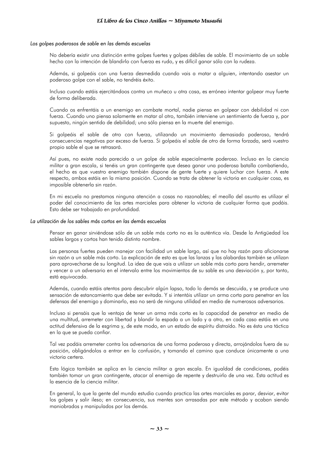# *Los golpes poderosos de sable en las demás escuelas*

No debería existir una distinción entre golpes fuertes y golpes débiles de sable. El movimiento de un sable hecho con la intención de blandirlo con fuerza es rudo, y es difícil ganar sólo con la rudeza.

Además, si golpeáis con una fuerza desmedida cuando vais a matar a alguien, intentando asestar un poderoso golpe con el sable, no tendréis éxito.

Incluso cuando estáis ejercitándoos contra un muñeco u otra cosa, es erróneo intentar golpear muy fuerte de forma deliberada.

Cuando os enfrentáis a un enemigo en combate mortal, nadie piensa en golpear con debilidad ni con fuerza. Cuando uno piensa solamente en matar al otro, también interviene un sentimiento de fuerza y, por supuesto, ningún sentido de debilidad; uno sólo piensa en la muerte del enemigo.

Si golpeáis el sable de otro con fuerza, utilizando un movimiento demasiado poderoso, tendrá consecuencias negativas por exceso de fuerza. Si golpeáis el sable de otro de forma forzada, será vuestro propio sable el que se retrasará.

Así pues, no existe nada parecido a un golpe de sable especialmente poderoso. Incluso en la ciencia militar a gran escala, si tenéis un gran contingente que desea ganar una poderosa batalla combatiendo, el hecho es que vuestro enemigo también dispone de gente fuerte y quiere luchar con fuerza. A este respecto, ambos estáis en la misma posición. Cuando se trata de obtener la victoria en cualquier cosa, es imposible obtenerla sin razón.

En mi escuela no prestamos ninguna atención a cosas no razonables; el meollo del asunto es utilizar el poder del conocimiento de las artes marciales para obtener la victoria de cualquier forma que podáis. Esto debe ser trabajado en profundidad.

# *La utilización de los sables más cortos en las demás escuelas*

Pensar en ganar sirviéndose sólo de un sable más corto no es la auténtica vía. Desde la Antigüedad los sables largos y cortos han tenido distinto nombre.

Las personas fuertes pueden manejar con facilidad un sable largo, así que no hay razón para aficionarse sin razón a un sable más corto. La explicación de esto es que las lanzas y las alabardas también se utilizan para aprovecharse de su longitud. La idea de que vais a utilizar un sable más corto para hendir, arremeter y vencer a un adversario en el intervalo entre los movimientos de su sable es una desviación y, por tanto, está equivocada.

Además, cuando estáis atentos para descubrir algún lapso, todo lo demás se descuida, y se produce una sensación de estancamiento que debe ser evitada. Y si intentáis utilizar un arma corta para penetrar en las defensas del enemigo y dominarlo, eso no será de ninguna utilidad en medio de numerosos adversarios.

Incluso si pensáis que la ventaja de tener un arma más corta es la capacidad de penetrar en medio de una multitud, arremeter con libertad y blandir la espada a un lado y a otro, en cada caso estáis en una actitud defensiva de la esgrima y, de este modo, en un estado de espíritu distraído. No es ésta una táctica en la que se pueda confiar.

Tal vez podáis arremeter contra los adversarios de una forma poderosa y directa, arrojándolos fuera de su posición, obligándolos a entrar en la confusión, y tomando el camino que conduce únicamente a una victoria certera.

Esta lógica también se aplica en la ciencia militar a gran escala. En igualdad de condiciones, podéis también tomar un gran contingente, atacar al enemigo de repente y destruirlo de una vez. Esta actitud es la esencia de la ciencia militar.

En general, lo que la gente del mundo estudia cuando practica las artes marciales es parar, desviar, evitar los golpes y salir ileso; en consecuencia, sus mentes son arrasadas por este método y acaban siendo maniobrados y manipulados por los demás.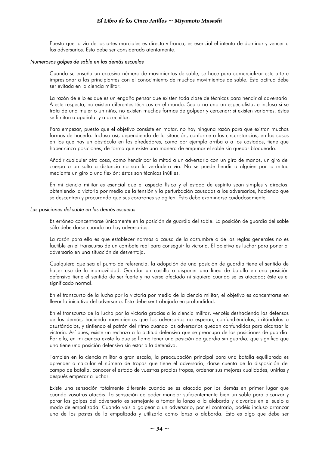Puesto que la vía de las artes marciales es directa y franca, es esencial el intento de dominar y vencer a los adversarios. Esto debe ser considerado atentamente.

#### *Numerosos golpes de sable en las demás escuelas*

Cuando se enseña un excesivo número de movimientos de sable, se hace para comercializar este arte e impresionar a los principiantes con el conocimiento de muchos movimientos de sable. Esta actitud debe ser evitada en la ciencia militar.

La razón de ello es que es un engaño pensar que existen toda clase de técnicas para hendir al adversario. A este respecto, no existen diferentes técnicas en el mundo. Sea o no uno un especialista, e incluso si se trata de una mujer o un niño, no existen muchas formas de golpear y cercenar; si existen variantes, éstas se limitan a apuñalar y a acuchillar.

Para empezar, puesto que el objetivo consiste en matar, no hay ninguna razón para que existan muchas formas de hacerlo. Incluso así, dependiendo de la situación, conforme a las circunstancias, en los casos en los que hay un obstáculo en los alrededores, como por ejemplo arriba o a los costados, tiene que haber cinco posiciones, de forma que existe una manera de empuñar el sable sin quedar bloqueado.

Añadir cualquier otra cosa, como hendir por la mitad a un adversario con un giro de manos, un giro del cuerpo o un salto a distancia no son la verdadera vía. No se puede hendir a alguien por la mitad mediante un giro o una flexión; éstas son técnicas inútiles.

En mi ciencia militar es esencial que el aspecto físico y el estado de espíritu sean simples y directos, obteniendo la victoria por medio de la tensión y la perturbación causadas a los adversarios, haciendo que se descentren y procurando que sus corazones se agiten. Esto debe examinarse cuidadosamente.

# *Las posiciones del sable en las demás escuelas*

Es erróneo concentrarse únicamente en la posición de guardia del sable. La posición de guardia del sable sólo debe darse cuando no hay adversarios.

La razón para ello es que establecer normas a causa de la costumbre o de las reglas generales no es factible en el transcurso de un combate real para conseguir la victoria. El objetivo es luchar para poner al adversario en una situación de desventaja.

Cualquiera que sea el punto de referencia, la adopción de una posición de guardia tiene el sentido de hacer uso de la inamovilidad. Guardar un castillo o disponer una línea de batalla en una posición defensiva tiene el sentido de ser fuerte y no verse afectado ni siquiera cuando se es atacado; éste es el significado normal.

En el transcurso de la lucha por la victoria por medio de la ciencia militar, el objetivo es concentrarse en llevar la iniciativa del adversario. Esto debe ser trabajado en profundidad.

En el transcurso de la lucha por la victoria gracias a la ciencia militar, vencéis deshaciendo las defensas de los demás, haciendo movimientos que los adversarios no esperan, confundiéndolos, irritándolos o asustándolos, y sintiendo el patrón del ritmo cuando los adversarios quedan confundidos para alcanzar la victoria. Así pues, existe un rechazo a la actitud defensiva que se preocupa de las posiciones de guardia. Por ello, en mi ciencia existe lo que se llama tener una posición de guardia sin guardia, que significa que uno tiene una posición defensiva sin estar a la defensiva.

También en la ciencia militar a gran escala, la preocupación principal para una batalla equilibrada es aprender a calcular el número de tropas que tiene el adversario, darse cuenta de la disposición del campo de batalla, conocer el estado de vuestras propias tropas, ordenar sus mejores cualidades, unirlas y después empezar a luchar.

Existe una sensación totalmente diferente cuando se es atacado por los demás en primer lugar que cuando vosotros atacáis. La sensación de poder manejar suficientemente bien un sable para alcanzar y parar los golpes del adversario es semejante a tomar la lanza o la alabarda y clavarlas en el suelo a modo de empalizada. Cuando vais a golpear a un adversario, por el contrario, podéis incluso arrancar uno de los postes de la empalizada y utilizarlo como lanza o alabarda. Esto es algo que debe ser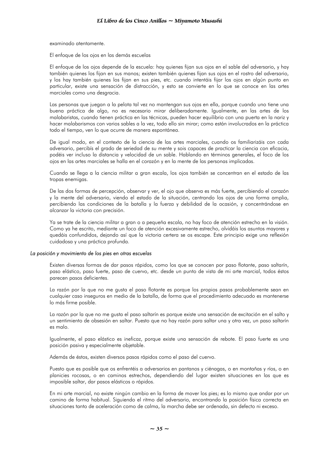examinado atentamente.

El enfoque de los ojos en las demás escuelas

El enfoque de los ojos depende de la escuela: hay quienes fijan sus ojos en el sable del adversario, y hay también quienes los fijan en sus manos; existen también quienes fijan sus ojos en el rostro del adversario, y los hay también quienes los fijan en sus pies, etc. cuando intentáis fijar los ojos en algún punto en particular, existe una sensación de distracción, y esto se convierte en lo que se conoce en las artes marciales como una desgracia.

Las personas que juegan a la pelota tal vez no mantengan sus ojos en ella, porque cuando uno tiene una buena práctica de algo, no es necesario mirar deliberadamente. Igualmente, en las artes de los malabaristas, cuando tienen práctica en las técnicas, pueden hacer equilibrio con una puerta en la nariz y hacer malabarismos con varios sables a la vez, todo ello sin mirar; como están involucrados en la práctica todo el tiempo, ven lo que ocurre de manera espontánea.

De igual modo, en el contexto de la ciencia de las artes marciales, cuando os familiarizáis con cada adversario, percibís el grado de seriedad de su mente y sois capaces de practicar la ciencia con eficacia, podéis ver incluso la distancia y velocidad de un sable. Hablando en términos generales, el foco de los ojos en las artes marciales se halla en el corazón y en la mente de las personas implicadas.

Cuando se llega a la ciencia militar a gran escala, los ojos también se concentran en el estado de las tropas enemigas.

De las dos formas de percepción, observar y ver, el ojo que observa es más fuerte, percibiendo el corazón y la mente del adversario, viendo el estado de la situación, centrando los ojos de una forma amplia, percibiendo las condiciones de la batalla y la fuerza y debilidad de la ocasión, y concentrándose en alcanzar la victoria con precisión.

Ya se trate de la ciencia militar a gran o a pequeña escala, no hay foco de atención estrecho en la visión. Como ya he escrito, mediante un foco de atención excesivamente estrecho, olvidáis los asuntos mayores y quedáis confundidos, dejando así que la victoria certera se os escape. Este principio exige una reflexión cuidadosa y una práctica profunda.

# *La posición y movimiento de los pies en otras escuelas*

Existen diversas formas de dar pasos rápidos, como los que se conocen por paso flotante, paso saltarín, paso elástico, paso fuerte, paso de cuervo, etc. desde un punto de vista de mi arte marcial, todos éstos parecen pasos deficientes.

La razón por la que no me gusta el paso flotante es porque los propios pasos probablemente sean en cualquier caso inseguros en medio de la batalla, de forma que el procedimiento adecuado es mantenerse lo más firme posible.

La razón por la que no me gusta el paso saltarín es porque existe una sensación de excitación en el salto y un sentimiento de obsesión en saltar. Puesto que no hay razón para saltar una y otra vez, un paso saltarín es malo.

Igualmente, el paso elástico es ineficaz, porque existe una sensación de rebote. El paso fuerte es una posición pasiva y especialmente objetable.

Además de éstos, existen diversos pasos rápidos como el paso del cuervo.

Puesto que es posible que os enfrentéis a adversarios en pantanos y ciénagas, o en montañas y ríos, o en planicies rocosas, o en caminos estrechos, dependiendo del lugar existen situaciones en las que es imposible saltar, dar pasos elásticos o rápidos.

En mi arte marcial, no existe ningún cambio en la forma de mover los pies; es lo mismo que andar por un camino de forma habitual. Siguiendo el ritmo del adversario, encontrando la posición física correcta en situaciones tanto de aceleración como de calma, la marcha debe ser ordenada, sin defecto ni exceso.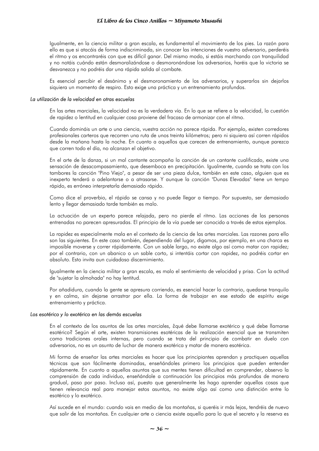Igualmente, en la ciencia militar a gran escala, es fundamental el movimiento de los pies. La razón para ello es que si atacáis de forma indiscriminada, sin conocer las intenciones de vuestro adversario, perderéis el ritmo y os encontraréis con que es difícil ganar. Del mismo modo, si estáis marchando con tranquilidad y no notáis cuándo están desmoralizándose o desmoronándose los adversarios, haréis que la victoria se desvanezca y no podréis dar una rápida salida al combate.

Es esencial percibir el desánimo y el desmoronamiento de los adversarios, y superarlos sin dejarlos siquiera un momento de respiro. Esto exige una práctica y un entrenamiento profundos.

#### *La utilización de la velocidad en otras escuelas*

En las artes marciales, la velocidad no es la verdadera vía. En lo que se refiere a la velocidad, la cuestión de rapidez o lentitud en cualquier cosa proviene del fracaso de armonizar con el ritmo.

Cuando domináis un arte o una ciencia, vuestra acción no parece rápida. Por ejemplo, existen corredores profesionales carteros que recorren una ruta de unos treinta kilómetros; pero ni siquiera así corren rápidos desde la mañana hasta la noche. En cuanto a aquellos que carecen de entrenamiento, aunque parezca que corren todo el día, no alcanzan el objetivo.

En el arte de la danza, si un mal cantante acompaña la canción de un cantante cualificado, existe una sensación de desacompasamiento, que desemboca en precipitación. Igualmente, cuando se trata con los tambores la canción "Pino Viejo", a pesar de ser una pieza dulce, también en este caso, alguien que es inexperto tenderá a adelantarse o a atrasarse. Y aunque la canción "Dunas Elevadas" tiene un *tempo* rápido, es erróneo interpretarla demasiado rápido.

Como dice el proverbio, el rápido se cansa y no puede llegar a tiempo. Por supuesto, ser demasiado lento y llegar demasiado tarde también es malo.

La actuación de un experto parece relajada, pero no pierde el ritmo. Las acciones de las personas entrenadas no parecen apresuradas. El principio de la vía puede ser conocido a través de estos ejemplos.

La rapidez es especialmente mala en el contexto de la ciencia de las artes marciales. Las razones para ello son las siguientes. En este caso también, dependiendo del lugar, digamos, por ejemplo, en una charca es imposible moverse y correr rápidamente. Con un sable largo, no existe algo así como matar con rapidez; por el contrario, con un abanico o un sable corto, si intentáis cortar con rapidez, no podréis cortar en absoluto. Esto invita aun cuidadoso discernimiento.

Igualmente en la ciencia militar a gran escala, es malo el sentimiento de velocidad y prisa. Con la actitud de "sujetar la almohada" no hay lentitud.

Por añadidura, cuando la gente se apresura corriendo, es esencial hacer lo contrario, quedarse tranquilo y en calma, sin dejarse arrastrar por ella. La forma de trabajar en ese estado de espíritu exige entrenamiento y práctica.

#### *Los esotérico y lo exotérico en las demás escuelas*

En el contexto de los asuntos de las artes marciales, ¿qué debe llamarse exotérico y qué debe llamarse esotérico? Según el arte, existen transmisiones esotéricas de la realización esencial que se transmiten como tradiciones orales internas, pero cuando se trata del principio de combatir en duelo con adversarios, no es un asunto de luchar de manera exotérica y matar de manera esotérica.

Mi forma de enseñar las artes marciales es hacer que los principiantes aprendan y practiquen aquellas técnicas que son fácilmente dominadas, enseñándoles primero los principios que pueden entender rápidamente. En cuanto a aquellos asuntos que sus mentes tienen dificultad en comprender, observo la comprensión de cada individuo, enseñándole a continuación los principios más profundos de manera gradual, paso por paso. Incluso así, puesto que generalmente les hago aprender aquellas cosas que tienen relevancia real para manejar estos asuntos, no existe algo así como una distinción entre lo esotérico y lo exotérico.

Así sucede en el mundo: cuando vais en medio de las montañas, si queréis ir más lejos, tendréis de nuevo que salir de las montañas. En cualquier arte o ciencia existe aquello para lo que el secreto y la reserva es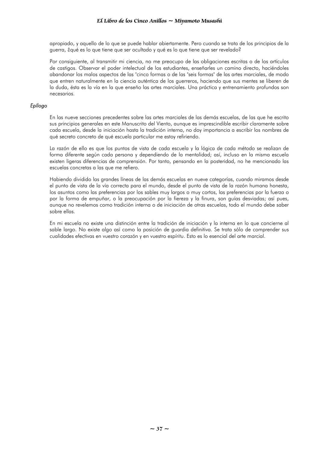apropiado, y aquello de lo que se puede hablar abiertamente. Pero cuando se trata de los principios de la guerra, ¿qué es lo que tiene que ser ocultado y qué es lo que tiene que ser revelado?

Por consiguiente, al transmitir mi ciencia, no me preocupo de las obligaciones escritas o de los artículos de castigos. Observar el poder intelectual de los estudiantes, enseñarles un camino directo, haciéndoles abandonar los malos aspectos de las "cinco formas o de las "seis formas" de las artes marciales, de modo que entren naturalmente en la ciencia auténtica de los guerreros, haciendo que sus mentes se liberen de la duda, ésta es la vía en la que enseño las artes marciales. Una práctica y entrenamiento profundos son necesarios.

# *Epílogo*

En las nueve secciones precedentes sobre las artes marciales de las demás escuelas, de las que he escrito sus principios generales en este Manuscrito del Viento, aunque es imprescindible escribir claramente sobre cada escuela, desde la iniciación hasta la tradición interna, no doy importancia a escribir los nombres de qué secreto concreto de qué escuela particular me estoy refiriendo.

La razón de ello es que los puntos de vista de cada escuela y la lógica de cada método se realizan de forma diferente según cada persona y dependiendo de la mentalidad; así, incluso en la misma escuela existen ligeras diferencias de comprensión. Por tanto, pensando en la posteridad, no he mencionado las escuelas concretas a las que me refiero.

Habiendo dividido las grandes líneas de las demás escuelas en nueve categorías, cuando miramos desde el punto de vista de la vía correcta para el mundo, desde el punto de vista de la razón humana honesta, los asuntos como las preferencias por los sables muy largos o muy cortos, las preferencias por la fuerza o por la forma de empuñar, o la preocupación por la fiereza y la finura, son guías desviadas; así pues, aunque no revelemos como tradición interna o de iniciación de otras escuelas, todo el mundo debe saber sobre ellas.

En mi escuela no existe una distinción entre la tradición de iniciación y la interna en lo que concierne al sable largo. No existe algo así como la posición de guardia definitiva. Se trata sólo de comprender sus cualidades efectivas en vuestro corazón y en vuestro espíritu. Esto es lo esencial del arte marcial.